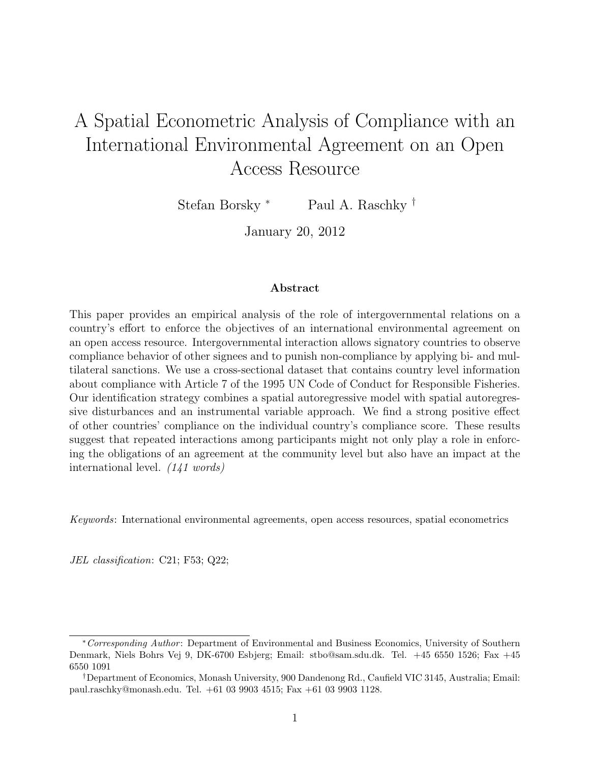# A Spatial Econometric Analysis of Compliance with an International Environmental Agreement on an Open Access Resource

Stefan Borsky <sup>∗</sup> Paul A. Raschky †

January 20, 2012

#### Abstract

This paper provides an empirical analysis of the role of intergovernmental relations on a country's effort to enforce the objectives of an international environmental agreement on an open access resource. Intergovernmental interaction allows signatory countries to observe compliance behavior of other signees and to punish non-compliance by applying bi- and multilateral sanctions. We use a cross-sectional dataset that contains country level information about compliance with Article 7 of the 1995 UN Code of Conduct for Responsible Fisheries. Our identification strategy combines a spatial autoregressive model with spatial autoregressive disturbances and an instrumental variable approach. We find a strong positive effect of other countries' compliance on the individual country's compliance score. These results suggest that repeated interactions among participants might not only play a role in enforcing the obligations of an agreement at the community level but also have an impact at the international level. (141 words)

Keywords: International environmental agreements, open access resources, spatial econometrics

JEL classification: C21; F53; Q22;

<sup>∗</sup>Corresponding Author : Department of Environmental and Business Economics, University of Southern Denmark, Niels Bohrs Vej 9, DK-6700 Esbjerg; Email: stbo@sam.sdu.dk. Tel. +45 6550 1526; Fax +45 6550 1091

<sup>†</sup>Department of Economics, Monash University, 900 Dandenong Rd., Caufield VIC 3145, Australia; Email: paul.raschky@monash.edu. Tel. +61 03 9903 4515; Fax +61 03 9903 1128.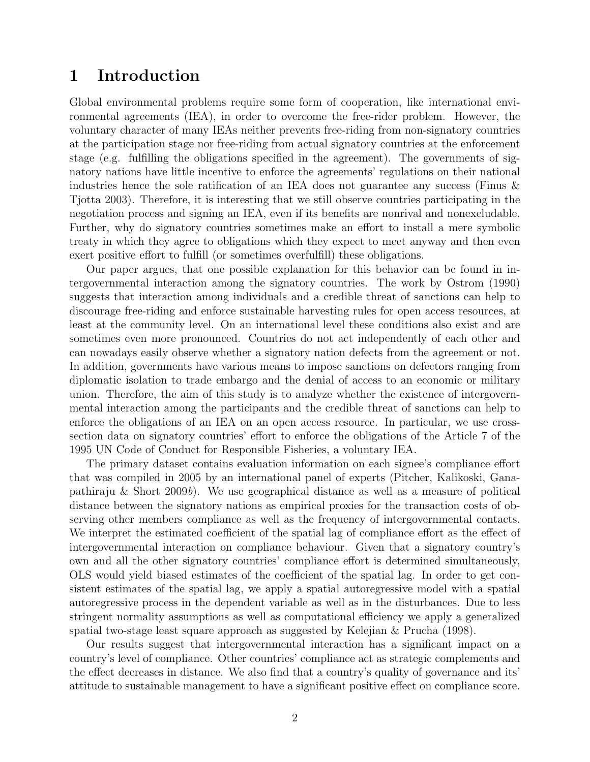### 1 Introduction

Global environmental problems require some form of cooperation, like international environmental agreements (IEA), in order to overcome the free-rider problem. However, the voluntary character of many IEAs neither prevents free-riding from non-signatory countries at the participation stage nor free-riding from actual signatory countries at the enforcement stage (e.g. fulfilling the obligations specified in the agreement). The governments of signatory nations have little incentive to enforce the agreements' regulations on their national industries hence the sole ratification of an IEA does not guarantee any success (Finus & Tjotta 2003). Therefore, it is interesting that we still observe countries participating in the negotiation process and signing an IEA, even if its benefits are nonrival and nonexcludable. Further, why do signatory countries sometimes make an effort to install a mere symbolic treaty in which they agree to obligations which they expect to meet anyway and then even exert positive effort to fulfill (or sometimes overfulfill) these obligations.

Our paper argues, that one possible explanation for this behavior can be found in intergovernmental interaction among the signatory countries. The work by Ostrom (1990) suggests that interaction among individuals and a credible threat of sanctions can help to discourage free-riding and enforce sustainable harvesting rules for open access resources, at least at the community level. On an international level these conditions also exist and are sometimes even more pronounced. Countries do not act independently of each other and can nowadays easily observe whether a signatory nation defects from the agreement or not. In addition, governments have various means to impose sanctions on defectors ranging from diplomatic isolation to trade embargo and the denial of access to an economic or military union. Therefore, the aim of this study is to analyze whether the existence of intergovernmental interaction among the participants and the credible threat of sanctions can help to enforce the obligations of an IEA on an open access resource. In particular, we use crosssection data on signatory countries' effort to enforce the obligations of the Article 7 of the 1995 UN Code of Conduct for Responsible Fisheries, a voluntary IEA.

The primary dataset contains evaluation information on each signee's compliance effort that was compiled in 2005 by an international panel of experts (Pitcher, Kalikoski, Ganapathiraju & Short 2009b). We use geographical distance as well as a measure of political distance between the signatory nations as empirical proxies for the transaction costs of observing other members compliance as well as the frequency of intergovernmental contacts. We interpret the estimated coefficient of the spatial lag of compliance effort as the effect of intergovernmental interaction on compliance behaviour. Given that a signatory country's own and all the other signatory countries' compliance effort is determined simultaneously, OLS would yield biased estimates of the coefficient of the spatial lag. In order to get consistent estimates of the spatial lag, we apply a spatial autoregressive model with a spatial autoregressive process in the dependent variable as well as in the disturbances. Due to less stringent normality assumptions as well as computational efficiency we apply a generalized spatial two-stage least square approach as suggested by Kelejian & Prucha (1998).

Our results suggest that intergovernmental interaction has a significant impact on a country's level of compliance. Other countries' compliance act as strategic complements and the effect decreases in distance. We also find that a country's quality of governance and its' attitude to sustainable management to have a significant positive effect on compliance score.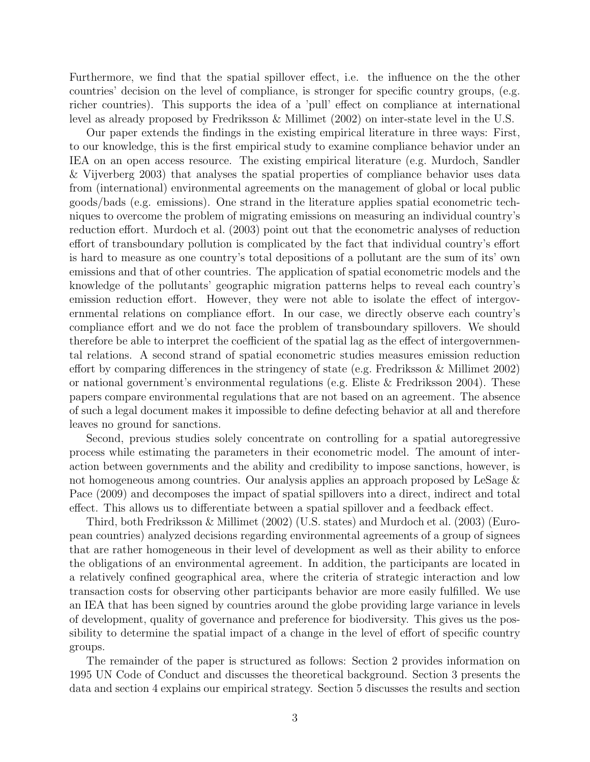Furthermore, we find that the spatial spillover effect, i.e. the influence on the the other countries' decision on the level of compliance, is stronger for specific country groups, (e.g. richer countries). This supports the idea of a 'pull' effect on compliance at international level as already proposed by Fredriksson & Millimet (2002) on inter-state level in the U.S.

Our paper extends the findings in the existing empirical literature in three ways: First, to our knowledge, this is the first empirical study to examine compliance behavior under an IEA on an open access resource. The existing empirical literature (e.g. Murdoch, Sandler & Vijverberg 2003) that analyses the spatial properties of compliance behavior uses data from (international) environmental agreements on the management of global or local public goods/bads (e.g. emissions). One strand in the literature applies spatial econometric techniques to overcome the problem of migrating emissions on measuring an individual country's reduction effort. Murdoch et al. (2003) point out that the econometric analyses of reduction effort of transboundary pollution is complicated by the fact that individual country's effort is hard to measure as one country's total depositions of a pollutant are the sum of its' own emissions and that of other countries. The application of spatial econometric models and the knowledge of the pollutants' geographic migration patterns helps to reveal each country's emission reduction effort. However, they were not able to isolate the effect of intergovernmental relations on compliance effort. In our case, we directly observe each country's compliance effort and we do not face the problem of transboundary spillovers. We should therefore be able to interpret the coefficient of the spatial lag as the effect of intergovernmental relations. A second strand of spatial econometric studies measures emission reduction effort by comparing differences in the stringency of state (e.g. Fredriksson & Millimet 2002) or national government's environmental regulations (e.g. Eliste & Fredriksson 2004). These papers compare environmental regulations that are not based on an agreement. The absence of such a legal document makes it impossible to define defecting behavior at all and therefore leaves no ground for sanctions.

Second, previous studies solely concentrate on controlling for a spatial autoregressive process while estimating the parameters in their econometric model. The amount of interaction between governments and the ability and credibility to impose sanctions, however, is not homogeneous among countries. Our analysis applies an approach proposed by LeSage & Pace (2009) and decomposes the impact of spatial spillovers into a direct, indirect and total effect. This allows us to differentiate between a spatial spillover and a feedback effect.

Third, both Fredriksson & Millimet (2002) (U.S. states) and Murdoch et al. (2003) (European countries) analyzed decisions regarding environmental agreements of a group of signees that are rather homogeneous in their level of development as well as their ability to enforce the obligations of an environmental agreement. In addition, the participants are located in a relatively confined geographical area, where the criteria of strategic interaction and low transaction costs for observing other participants behavior are more easily fulfilled. We use an IEA that has been signed by countries around the globe providing large variance in levels of development, quality of governance and preference for biodiversity. This gives us the possibility to determine the spatial impact of a change in the level of effort of specific country groups.

The remainder of the paper is structured as follows: Section 2 provides information on 1995 UN Code of Conduct and discusses the theoretical background. Section 3 presents the data and section 4 explains our empirical strategy. Section 5 discusses the results and section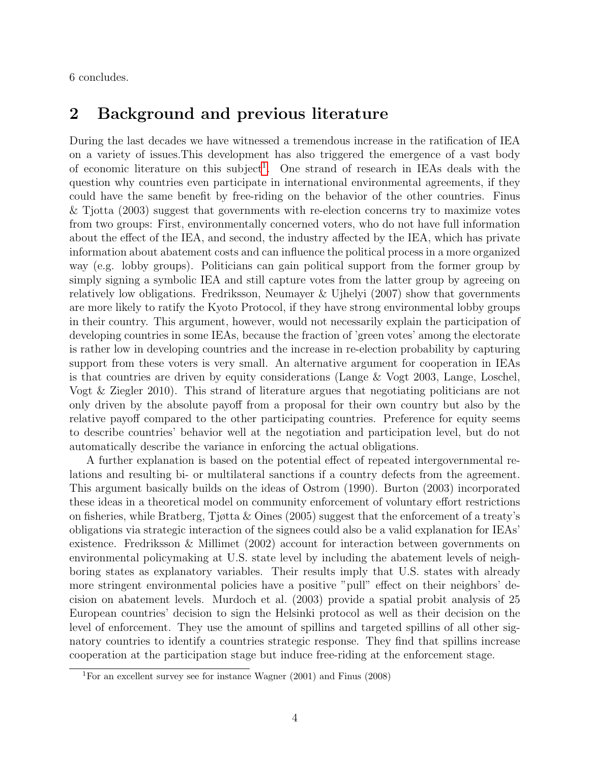6 concludes.

## 2 Background and previous literature

During the last decades we have witnessed a tremendous increase in the ratification of IEA on a variety of issues.This development has also triggered the emergence of a vast body of economic literature on this subject<sup>[1](#page-3-0)</sup>. One strand of research in IEAs deals with the question why countries even participate in international environmental agreements, if they could have the same benefit by free-riding on the behavior of the other countries. Finus & Tjotta (2003) suggest that governments with re-election concerns try to maximize votes from two groups: First, environmentally concerned voters, who do not have full information about the effect of the IEA, and second, the industry affected by the IEA, which has private information about abatement costs and can influence the political process in a more organized way (e.g. lobby groups). Politicians can gain political support from the former group by simply signing a symbolic IEA and still capture votes from the latter group by agreeing on relatively low obligations. Fredriksson, Neumayer & Ujhelyi (2007) show that governments are more likely to ratify the Kyoto Protocol, if they have strong environmental lobby groups in their country. This argument, however, would not necessarily explain the participation of developing countries in some IEAs, because the fraction of 'green votes' among the electorate is rather low in developing countries and the increase in re-election probability by capturing support from these voters is very small. An alternative argument for cooperation in IEAs is that countries are driven by equity considerations (Lange & Vogt 2003, Lange, Loschel, Vogt & Ziegler 2010). This strand of literature argues that negotiating politicians are not only driven by the absolute payoff from a proposal for their own country but also by the relative payoff compared to the other participating countries. Preference for equity seems to describe countries' behavior well at the negotiation and participation level, but do not automatically describe the variance in enforcing the actual obligations.

A further explanation is based on the potential effect of repeated intergovernmental relations and resulting bi- or multilateral sanctions if a country defects from the agreement. This argument basically builds on the ideas of Ostrom (1990). Burton (2003) incorporated these ideas in a theoretical model on community enforcement of voluntary effort restrictions on fisheries, while Bratberg, Tjøtta & Oines (2005) suggest that the enforcement of a treaty's obligations via strategic interaction of the signees could also be a valid explanation for IEAs' existence. Fredriksson & Millimet (2002) account for interaction between governments on environmental policymaking at U.S. state level by including the abatement levels of neighboring states as explanatory variables. Their results imply that U.S. states with already more stringent environmental policies have a positive "pull" effect on their neighbors' decision on abatement levels. Murdoch et al. (2003) provide a spatial probit analysis of 25 European countries' decision to sign the Helsinki protocol as well as their decision on the level of enforcement. They use the amount of spillins and targeted spillins of all other signatory countries to identify a countries strategic response. They find that spillins increase cooperation at the participation stage but induce free-riding at the enforcement stage.

<span id="page-3-0"></span><sup>&</sup>lt;sup>1</sup>For an excellent survey see for instance Wagner  $(2001)$  and Finus  $(2008)$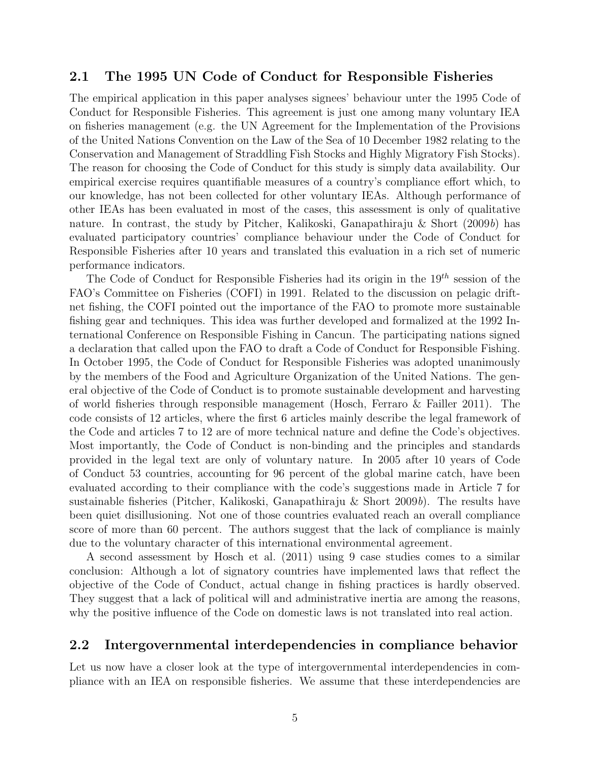#### 2.1 The 1995 UN Code of Conduct for Responsible Fisheries

The empirical application in this paper analyses signees' behaviour unter the 1995 Code of Conduct for Responsible Fisheries. This agreement is just one among many voluntary IEA on fisheries management (e.g. the UN Agreement for the Implementation of the Provisions of the United Nations Convention on the Law of the Sea of 10 December 1982 relating to the Conservation and Management of Straddling Fish Stocks and Highly Migratory Fish Stocks). The reason for choosing the Code of Conduct for this study is simply data availability. Our empirical exercise requires quantifiable measures of a country's compliance effort which, to our knowledge, has not been collected for other voluntary IEAs. Although performance of other IEAs has been evaluated in most of the cases, this assessment is only of qualitative nature. In contrast, the study by Pitcher, Kalikoski, Ganapathiraju & Short  $(2009b)$  has evaluated participatory countries' compliance behaviour under the Code of Conduct for Responsible Fisheries after 10 years and translated this evaluation in a rich set of numeric performance indicators.

The Code of Conduct for Responsible Fisheries had its origin in the  $19<sup>th</sup>$  session of the FAO's Committee on Fisheries (COFI) in 1991. Related to the discussion on pelagic driftnet fishing, the COFI pointed out the importance of the FAO to promote more sustainable fishing gear and techniques. This idea was further developed and formalized at the 1992 International Conference on Responsible Fishing in Cancun. The participating nations signed a declaration that called upon the FAO to draft a Code of Conduct for Responsible Fishing. In October 1995, the Code of Conduct for Responsible Fisheries was adopted unanimously by the members of the Food and Agriculture Organization of the United Nations. The general objective of the Code of Conduct is to promote sustainable development and harvesting of world fisheries through responsible management (Hosch, Ferraro & Failler 2011). The code consists of 12 articles, where the first 6 articles mainly describe the legal framework of the Code and articles 7 to 12 are of more technical nature and define the Code's objectives. Most importantly, the Code of Conduct is non-binding and the principles and standards provided in the legal text are only of voluntary nature. In 2005 after 10 years of Code of Conduct 53 countries, accounting for 96 percent of the global marine catch, have been evaluated according to their compliance with the code's suggestions made in Article 7 for sustainable fisheries (Pitcher, Kalikoski, Ganapathiraju & Short 2009b). The results have been quiet disillusioning. Not one of those countries evaluated reach an overall compliance score of more than 60 percent. The authors suggest that the lack of compliance is mainly due to the voluntary character of this international environmental agreement.

A second assessment by Hosch et al. (2011) using 9 case studies comes to a similar conclusion: Although a lot of signatory countries have implemented laws that reflect the objective of the Code of Conduct, actual change in fishing practices is hardly observed. They suggest that a lack of political will and administrative inertia are among the reasons, why the positive influence of the Code on domestic laws is not translated into real action.

#### 2.2 Intergovernmental interdependencies in compliance behavior

Let us now have a closer look at the type of intergovernmental interdependencies in compliance with an IEA on responsible fisheries. We assume that these interdependencies are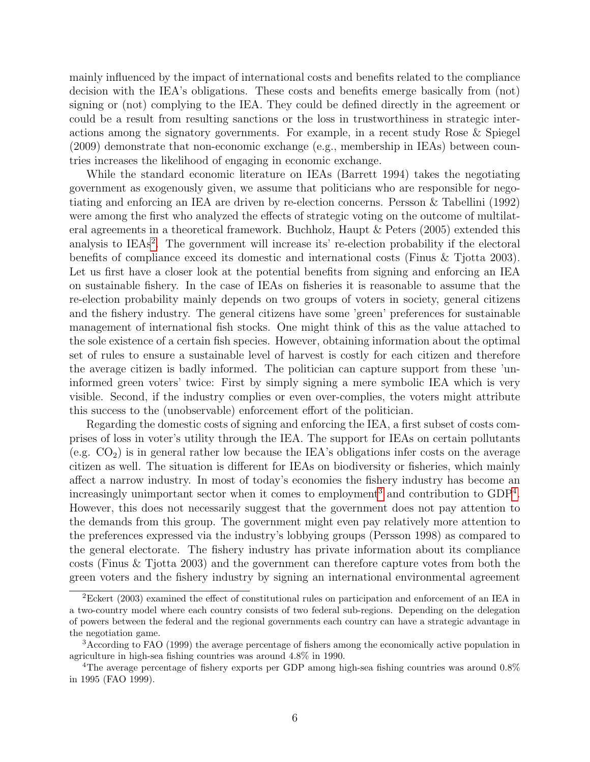mainly influenced by the impact of international costs and benefits related to the compliance decision with the IEA's obligations. These costs and benefits emerge basically from (not) signing or (not) complying to the IEA. They could be defined directly in the agreement or could be a result from resulting sanctions or the loss in trustworthiness in strategic interactions among the signatory governments. For example, in a recent study Rose & Spiegel (2009) demonstrate that non-economic exchange (e.g., membership in IEAs) between countries increases the likelihood of engaging in economic exchange.

While the standard economic literature on IEAs (Barrett 1994) takes the negotiating government as exogenously given, we assume that politicians who are responsible for negotiating and enforcing an IEA are driven by re-election concerns. Persson & Tabellini (1992) were among the first who analyzed the effects of strategic voting on the outcome of multilateral agreements in a theoretical framework. Buchholz, Haupt & Peters (2005) extended this analysis to IEAs<sup>[2](#page-5-0)</sup>. The government will increase its' re-election probability if the electoral benefits of compliance exceed its domestic and international costs (Finus & Tjotta 2003). Let us first have a closer look at the potential benefits from signing and enforcing an IEA on sustainable fishery. In the case of IEAs on fisheries it is reasonable to assume that the re-election probability mainly depends on two groups of voters in society, general citizens and the fishery industry. The general citizens have some 'green' preferences for sustainable management of international fish stocks. One might think of this as the value attached to the sole existence of a certain fish species. However, obtaining information about the optimal set of rules to ensure a sustainable level of harvest is costly for each citizen and therefore the average citizen is badly informed. The politician can capture support from these 'uninformed green voters' twice: First by simply signing a mere symbolic IEA which is very visible. Second, if the industry complies or even over-complies, the voters might attribute this success to the (unobservable) enforcement effort of the politician.

Regarding the domestic costs of signing and enforcing the IEA, a first subset of costs comprises of loss in voter's utility through the IEA. The support for IEAs on certain pollutants (e.g.  $CO<sub>2</sub>$ ) is in general rather low because the IEA's obligations infer costs on the average citizen as well. The situation is different for IEAs on biodiversity or fisheries, which mainly affect a narrow industry. In most of today's economies the fishery industry has become an increasingly unimportant sector when it comes to employment<sup>[3](#page-5-1)</sup> and contribution to  $GDP<sup>4</sup>$  $GDP<sup>4</sup>$  $GDP<sup>4</sup>$ . However, this does not necessarily suggest that the government does not pay attention to the demands from this group. The government might even pay relatively more attention to the preferences expressed via the industry's lobbying groups (Persson 1998) as compared to the general electorate. The fishery industry has private information about its compliance costs (Finus & Tjotta 2003) and the government can therefore capture votes from both the green voters and the fishery industry by signing an international environmental agreement

<span id="page-5-0"></span><sup>2</sup>Eckert (2003) examined the effect of constitutional rules on participation and enforcement of an IEA in a two-country model where each country consists of two federal sub-regions. Depending on the delegation of powers between the federal and the regional governments each country can have a strategic advantage in the negotiation game.

<span id="page-5-1"></span><sup>3</sup>According to FAO (1999) the average percentage of fishers among the economically active population in agriculture in high-sea fishing countries was around 4.8% in 1990.

<span id="page-5-2"></span><sup>&</sup>lt;sup>4</sup>The average percentage of fishery exports per GDP among high-sea fishing countries was around 0.8% in 1995 (FAO 1999).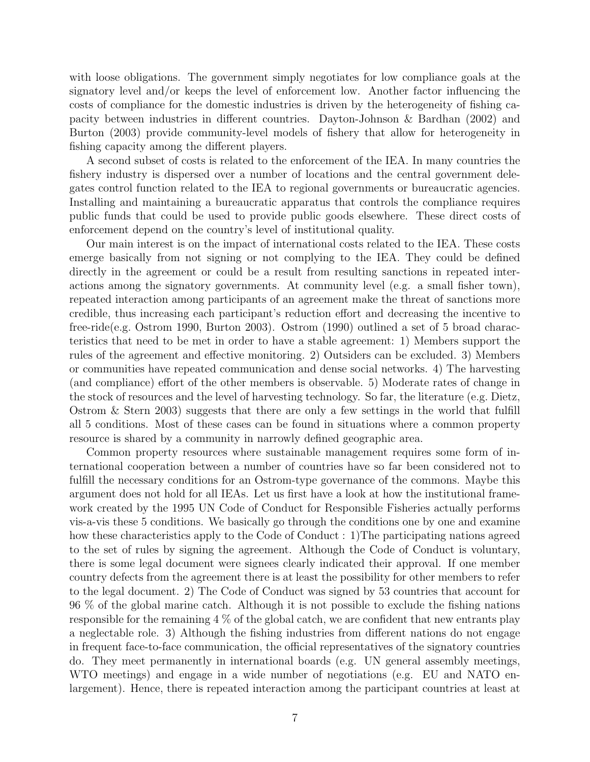with loose obligations. The government simply negotiates for low compliance goals at the signatory level and/or keeps the level of enforcement low. Another factor influencing the costs of compliance for the domestic industries is driven by the heterogeneity of fishing capacity between industries in different countries. Dayton-Johnson & Bardhan (2002) and Burton (2003) provide community-level models of fishery that allow for heterogeneity in fishing capacity among the different players.

A second subset of costs is related to the enforcement of the IEA. In many countries the fishery industry is dispersed over a number of locations and the central government delegates control function related to the IEA to regional governments or bureaucratic agencies. Installing and maintaining a bureaucratic apparatus that controls the compliance requires public funds that could be used to provide public goods elsewhere. These direct costs of enforcement depend on the country's level of institutional quality.

Our main interest is on the impact of international costs related to the IEA. These costs emerge basically from not signing or not complying to the IEA. They could be defined directly in the agreement or could be a result from resulting sanctions in repeated interactions among the signatory governments. At community level (e.g. a small fisher town), repeated interaction among participants of an agreement make the threat of sanctions more credible, thus increasing each participant's reduction effort and decreasing the incentive to free-ride(e.g. Ostrom 1990, Burton 2003). Ostrom (1990) outlined a set of 5 broad characteristics that need to be met in order to have a stable agreement: 1) Members support the rules of the agreement and effective monitoring. 2) Outsiders can be excluded. 3) Members or communities have repeated communication and dense social networks. 4) The harvesting (and compliance) effort of the other members is observable. 5) Moderate rates of change in the stock of resources and the level of harvesting technology. So far, the literature (e.g. Dietz, Ostrom & Stern 2003) suggests that there are only a few settings in the world that fulfill all 5 conditions. Most of these cases can be found in situations where a common property resource is shared by a community in narrowly defined geographic area.

Common property resources where sustainable management requires some form of international cooperation between a number of countries have so far been considered not to fulfill the necessary conditions for an Ostrom-type governance of the commons. Maybe this argument does not hold for all IEAs. Let us first have a look at how the institutional framework created by the 1995 UN Code of Conduct for Responsible Fisheries actually performs vis-a-vis these 5 conditions. We basically go through the conditions one by one and examine how these characteristics apply to the Code of Conduct : 1)The participating nations agreed to the set of rules by signing the agreement. Although the Code of Conduct is voluntary, there is some legal document were signees clearly indicated their approval. If one member country defects from the agreement there is at least the possibility for other members to refer to the legal document. 2) The Code of Conduct was signed by 53 countries that account for 96 % of the global marine catch. Although it is not possible to exclude the fishing nations responsible for the remaining  $4\%$  of the global catch, we are confident that new entrants play a neglectable role. 3) Although the fishing industries from different nations do not engage in frequent face-to-face communication, the official representatives of the signatory countries do. They meet permanently in international boards (e.g. UN general assembly meetings, WTO meetings) and engage in a wide number of negotiations (e.g. EU and NATO enlargement). Hence, there is repeated interaction among the participant countries at least at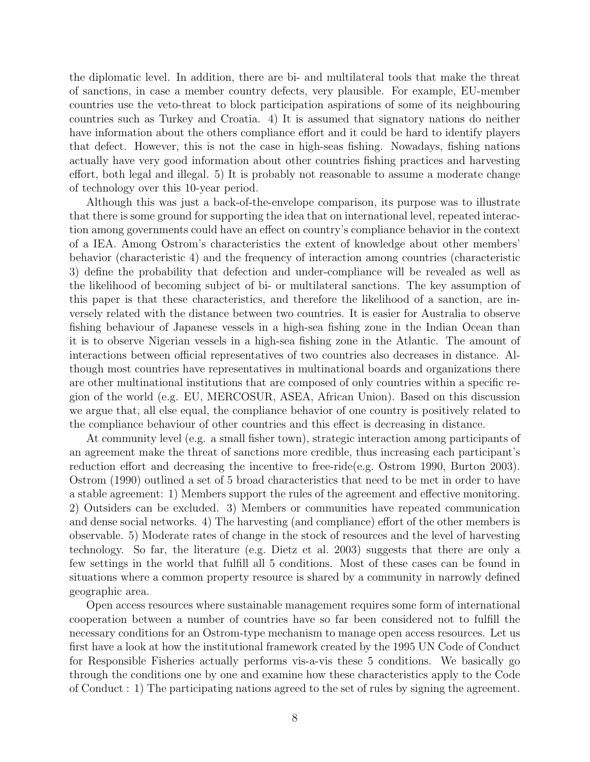the diplomatic level. In addition, there are bi- and multilateral tools that make the threat of sanctions, in case a member country defects, very plausible. For example, EU-member countries use the veto-threat to block participation aspirations of some of its neighbouring countries such as Turkey and Croatia. 4) It is assumed that signatory nations do neither have information about the others compliance effort and it could be hard to identify players that defect. However, this is not the case in high-seas fishing. Nowadays, fishing nations actually have very good information about other countries fishing practices and harvesting effort, both legal and illegal. 5) It is probably not reasonable to assume a moderate change of technology over this 10-year period.

Although this was just a back-of-the-envelope comparison, its purpose was to illustrate that there is some ground for supporting the idea that on international level, repeated interaction among governments could have an effect on country's compliance behavior in the context of a IEA. Among Ostrom's characteristics the extent of knowledge about other members' behavior (characteristic 4) and the frequency of interaction among countries (characteristic 3) define the probability that defection and under-compliance will be revealed as well as the likelihood of becoming subject of bi- or multilateral sanctions. The key assumption of this paper is that these characteristics, and therefore the likelihood of a sanction, are inversely related with the distance between two countries. It is easier for Australia to observe fishing behaviour of Japanese vessels in a high-sea fishing zone in the Indian Ocean than it is to observe Nigerian vessels in a high-sea fishing zone in the Atlantic. The amount of interactions between official representatives of two countries also decreases in distance. Although most countries have representatives in multinational boards and organizations there are other multinational institutions that are composed of only countries within a specific region of the world (e.g. EU, MERCOSUR, ASEA, African Union). Based on this discussion we argue that, all else equal, the compliance behavior of one country is positively related to the compliance behaviour of other countries and this effect is decreasing in distance.

At community level (e.g. a small fisher town), strategic interaction among participants of an agreement make the threat of sanctions more credible, thus increasing each participant's reduction effort and decreasing the incentive to free-ride(e.g. Ostrom 1990, Burton 2003). Ostrom (1990) outlined a set of 5 broad characteristics that need to be met in order to have a stable agreement: 1) Members support the rules of the agreement and effective monitoring. 2) Outsiders can be excluded. 3) Members or communities have repeated communication and dense social networks. 4) The harvesting (and compliance) effort of the other members is observable. 5) Moderate rates of change in the stock of resources and the level of harvesting technology. So far, the literature (e.g. Dietz et al. 2003) suggests that there are only a few settings in the world that fulfill all 5 conditions. Most of these cases can be found in situations where a common property resource is shared by a community in narrowly defined geographic area.

Open access resources where sustainable management requires some form of international cooperation between a number of countries have so far been considered not to fulfill the necessary conditions for an Ostrom-type mechanism to manage open access resources. Let us first have a look at how the institutional framework created by the 1995 UN Code of Conduct for Responsible Fisheries actually performs vis-a-vis these 5 conditions. We basically go through the conditions one by one and examine how these characteristics apply to the Code of Conduct : 1) The participating nations agreed to the set of rules by signing the agreement.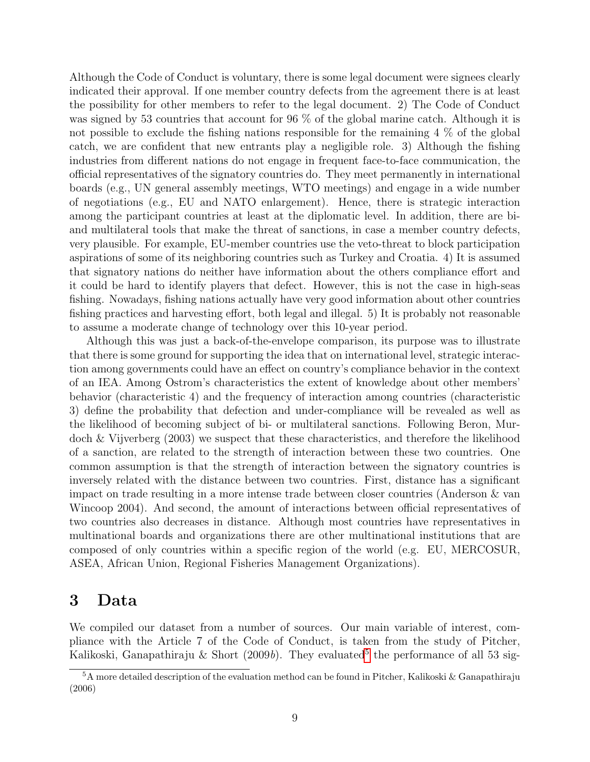Although the Code of Conduct is voluntary, there is some legal document were signees clearly indicated their approval. If one member country defects from the agreement there is at least the possibility for other members to refer to the legal document. 2) The Code of Conduct was signed by 53 countries that account for 96 % of the global marine catch. Although it is not possible to exclude the fishing nations responsible for the remaining  $4\%$  of the global catch, we are confident that new entrants play a negligible role. 3) Although the fishing industries from different nations do not engage in frequent face-to-face communication, the official representatives of the signatory countries do. They meet permanently in international boards (e.g., UN general assembly meetings, WTO meetings) and engage in a wide number of negotiations (e.g., EU and NATO enlargement). Hence, there is strategic interaction among the participant countries at least at the diplomatic level. In addition, there are biand multilateral tools that make the threat of sanctions, in case a member country defects, very plausible. For example, EU-member countries use the veto-threat to block participation aspirations of some of its neighboring countries such as Turkey and Croatia. 4) It is assumed that signatory nations do neither have information about the others compliance effort and it could be hard to identify players that defect. However, this is not the case in high-seas fishing. Nowadays, fishing nations actually have very good information about other countries fishing practices and harvesting effort, both legal and illegal. 5) It is probably not reasonable to assume a moderate change of technology over this 10-year period.

Although this was just a back-of-the-envelope comparison, its purpose was to illustrate that there is some ground for supporting the idea that on international level, strategic interaction among governments could have an effect on country's compliance behavior in the context of an IEA. Among Ostrom's characteristics the extent of knowledge about other members' behavior (characteristic 4) and the frequency of interaction among countries (characteristic 3) define the probability that defection and under-compliance will be revealed as well as the likelihood of becoming subject of bi- or multilateral sanctions. Following Beron, Murdoch & Vijverberg (2003) we suspect that these characteristics, and therefore the likelihood of a sanction, are related to the strength of interaction between these two countries. One common assumption is that the strength of interaction between the signatory countries is inversely related with the distance between two countries. First, distance has a significant impact on trade resulting in a more intense trade between closer countries (Anderson & van Wincoop 2004). And second, the amount of interactions between official representatives of two countries also decreases in distance. Although most countries have representatives in multinational boards and organizations there are other multinational institutions that are composed of only countries within a specific region of the world (e.g. EU, MERCOSUR, ASEA, African Union, Regional Fisheries Management Organizations).

### 3 Data

We compiled our dataset from a number of sources. Our main variable of interest, compliance with the Article 7 of the Code of Conduct, is taken from the study of Pitcher, Kalikoski, Ganapathiraju & Short (2009b). They evaluated<sup>[5](#page-8-0)</sup> the performance of all 53 sig-

<span id="page-8-0"></span> $5A$  more detailed description of the evaluation method can be found in Pitcher, Kalikoski & Ganapathiraju (2006)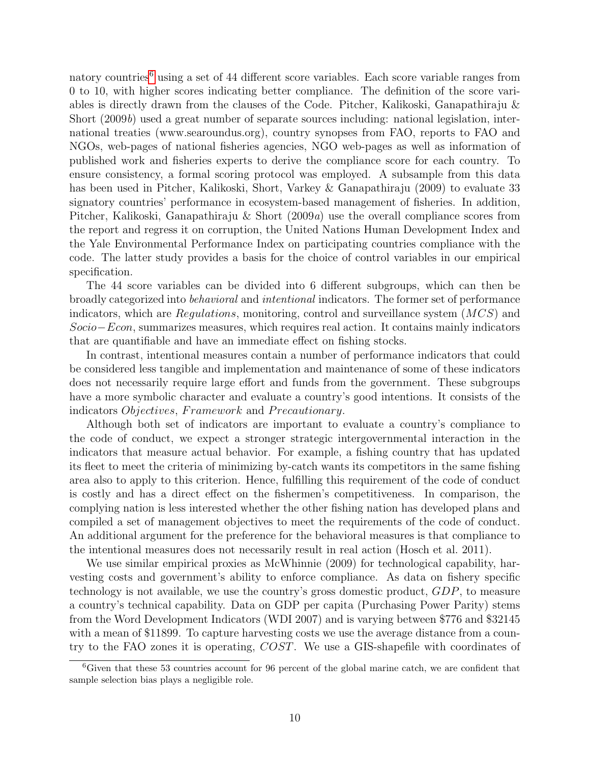natory countries<sup>[6](#page-9-0)</sup> using a set of 44 different score variables. Each score variable ranges from 0 to 10, with higher scores indicating better compliance. The definition of the score variables is directly drawn from the clauses of the Code. Pitcher, Kalikoski, Ganapathiraju & Short (2009b) used a great number of separate sources including: national legislation, international treaties (www.searoundus.org), country synopses from FAO, reports to FAO and NGOs, web-pages of national fisheries agencies, NGO web-pages as well as information of published work and fisheries experts to derive the compliance score for each country. To ensure consistency, a formal scoring protocol was employed. A subsample from this data has been used in Pitcher, Kalikoski, Short, Varkey & Ganapathiraju (2009) to evaluate 33 signatory countries' performance in ecosystem-based management of fisheries. In addition, Pitcher, Kalikoski, Ganapathiraju & Short (2009a) use the overall compliance scores from the report and regress it on corruption, the United Nations Human Development Index and the Yale Environmental Performance Index on participating countries compliance with the code. The latter study provides a basis for the choice of control variables in our empirical specification.

The 44 score variables can be divided into 6 different subgroups, which can then be broadly categorized into behavioral and intentional indicators. The former set of performance indicators, which are  $Requirements$ , monitoring, control and surveillance system  $(MCS)$  and Socio–Econ, summarizes measures, which requires real action. It contains mainly indicators that are quantifiable and have an immediate effect on fishing stocks.

In contrast, intentional measures contain a number of performance indicators that could be considered less tangible and implementation and maintenance of some of these indicators does not necessarily require large effort and funds from the government. These subgroups have a more symbolic character and evaluate a country's good intentions. It consists of the indicators *Objectives*, Framework and Precautionary.

Although both set of indicators are important to evaluate a country's compliance to the code of conduct, we expect a stronger strategic intergovernmental interaction in the indicators that measure actual behavior. For example, a fishing country that has updated its fleet to meet the criteria of minimizing by-catch wants its competitors in the same fishing area also to apply to this criterion. Hence, fulfilling this requirement of the code of conduct is costly and has a direct effect on the fishermen's competitiveness. In comparison, the complying nation is less interested whether the other fishing nation has developed plans and compiled a set of management objectives to meet the requirements of the code of conduct. An additional argument for the preference for the behavioral measures is that compliance to the intentional measures does not necessarily result in real action (Hosch et al. 2011).

We use similar empirical proxies as McWhinnie (2009) for technological capability, harvesting costs and government's ability to enforce compliance. As data on fishery specific technology is not available, we use the country's gross domestic product, GDP, to measure a country's technical capability. Data on GDP per capita (Purchasing Power Parity) stems from the Word Development Indicators (WDI 2007) and is varying between \$776 and \$32145 with a mean of \$11899. To capture harvesting costs we use the average distance from a country to the FAO zones it is operating, COST. We use a GIS-shapefile with coordinates of

<span id="page-9-0"></span><sup>6</sup>Given that these 53 countries account for 96 percent of the global marine catch, we are confident that sample selection bias plays a negligible role.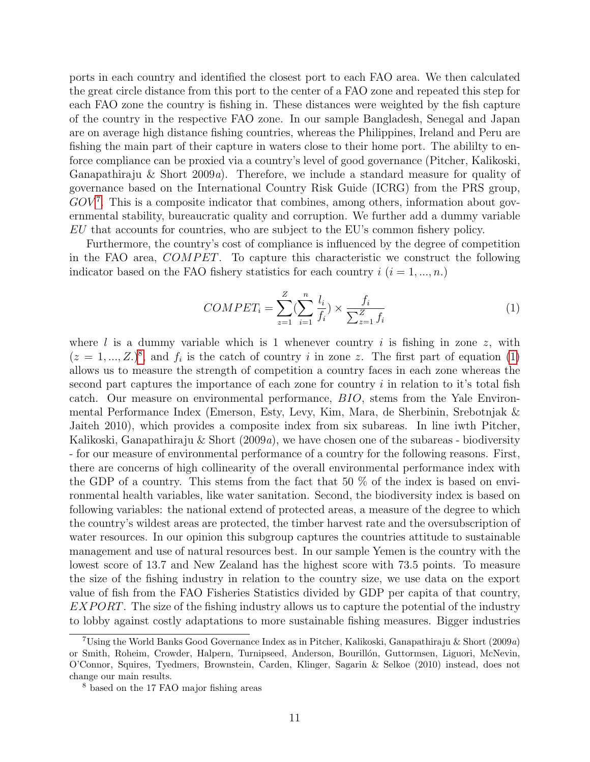ports in each country and identified the closest port to each FAO area. We then calculated the great circle distance from this port to the center of a FAO zone and repeated this step for each FAO zone the country is fishing in. These distances were weighted by the fish capture of the country in the respective FAO zone. In our sample Bangladesh, Senegal and Japan are on average high distance fishing countries, whereas the Philippines, Ireland and Peru are fishing the main part of their capture in waters close to their home port. The abililty to enforce compliance can be proxied via a country's level of good governance (Pitcher, Kalikoski, Ganapathiraju & Short 2009a). Therefore, we include a standard measure for quality of governance based on the International Country Risk Guide (ICRG) from the PRS group,  $GOV<sup>7</sup>$  $GOV<sup>7</sup>$  $GOV<sup>7</sup>$ . This is a composite indicator that combines, among others, information about governmental stability, bureaucratic quality and corruption. We further add a dummy variable EU that accounts for countries, who are subject to the EU's common fishery policy.

Furthermore, the country's cost of compliance is influenced by the degree of competition in the FAO area, COMPET. To capture this characteristic we construct the following indicator based on the FAO fishery statistics for each country  $i$   $(i = 1, ..., n)$ .

<span id="page-10-2"></span>
$$
COMPET_i = \sum_{z=1}^{Z} (\sum_{i=1}^{n} \frac{l_i}{f_i}) \times \frac{f_i}{\sum_{z=1}^{Z} f_i}
$$
(1)

where  $l$  is a dummy variable which is 1 whenever country  $i$  is fishing in zone  $z$ , with  $(z = 1, ..., Z)^8$  $(z = 1, ..., Z)^8$ , and  $f_i$  is the catch of country i in zone z. The first part of equation [\(1\)](#page-10-2) allows us to measure the strength of competition a country faces in each zone whereas the second part captures the importance of each zone for country  $i$  in relation to it's total fish catch. Our measure on environmental performance, BIO, stems from the Yale Environmental Performance Index (Emerson, Esty, Levy, Kim, Mara, de Sherbinin, Srebotnjak & Jaiteh 2010), which provides a composite index from six subareas. In line iwth Pitcher, Kalikoski, Ganapathiraju & Short  $(2009a)$ , we have chosen one of the subareas - biodiversity - for our measure of environmental performance of a country for the following reasons. First, there are concerns of high collinearity of the overall environmental performance index with the GDP of a country. This stems from the fact that 50  $\%$  of the index is based on environmental health variables, like water sanitation. Second, the biodiversity index is based on following variables: the national extend of protected areas, a measure of the degree to which the country's wildest areas are protected, the timber harvest rate and the oversubscription of water resources. In our opinion this subgroup captures the countries attitude to sustainable management and use of natural resources best. In our sample Yemen is the country with the lowest score of 13.7 and New Zealand has the highest score with 73.5 points. To measure the size of the fishing industry in relation to the country size, we use data on the export value of fish from the FAO Fisheries Statistics divided by GDP per capita of that country,  $EXPORT$ . The size of the fishing industry allows us to capture the potential of the industry to lobby against costly adaptations to more sustainable fishing measures. Bigger industries

<span id="page-10-0"></span><sup>&</sup>lt;sup>7</sup>Using the World Banks Good Governance Index as in Pitcher, Kalikoski, Ganapathiraju & Short (2009a) or Smith, Roheim, Crowder, Halpern, Turnipseed, Anderson, Bourillón, Guttormsen, Liguori, McNevin, O'Connor, Squires, Tyedmers, Brownstein, Carden, Klinger, Sagarin & Selkoe (2010) instead, does not change our main results.

<span id="page-10-1"></span><sup>8</sup> based on the 17 FAO major fishing areas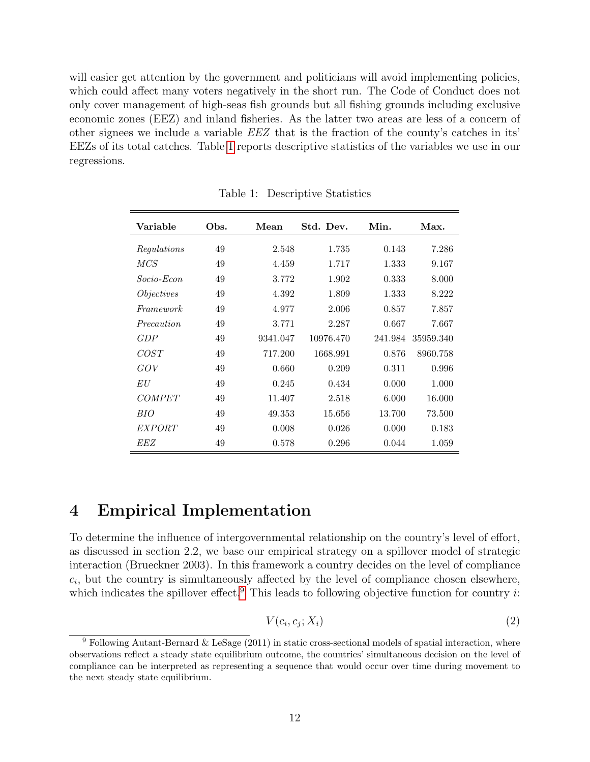will easier get attention by the government and politicians will avoid implementing policies, which could affect many voters negatively in the short run. The Code of Conduct does not only cover management of high-seas fish grounds but all fishing grounds including exclusive economic zones (EEZ) and inland fisheries. As the latter two areas are less of a concern of other signees we include a variable EEZ that is the fraction of the county's catches in its' EEZs of its total catches. Table [1](#page-11-0) reports descriptive statistics of the variables we use in our regressions.

| Variable          | Obs. | Mean     | Std. Dev. | Min.    | Max.      |
|-------------------|------|----------|-----------|---------|-----------|
| Regulations       | 49   | 2.548    | 1.735     | 0.143   | 7.286     |
| <i>MCS</i>        | 49   | 4.459    | 1.717     | 1.333   | 9.167     |
| Socio-Econ        | 49   | 3.772    | 1.902     | 0.333   | 8.000     |
| <i>Objectives</i> | 49   | 4.392    | 1.809     | 1.333   | 8.222     |
| Framework         | 49   | 4.977    | 2.006     | 0.857   | 7.857     |
| Precaution        | 49   | 3.771    | 2.287     | 0.667   | 7.667     |
| GDP               | 49   | 9341.047 | 10976.470 | 241.984 | 35959.340 |
| COST              | 49   | 717.200  | 1668.991  | 0.876   | 8960.758  |
| GOV               | 49   | 0.660    | 0.209     | 0.311   | 0.996     |
| ΕU                | 49   | 0.245    | 0.434     | 0.000   | 1.000     |
| <b>COMPET</b>     | 49   | 11.407   | 2.518     | 6.000   | 16.000    |
| BIO               | 49   | 49.353   | 15.656    | 13.700  | 73.500    |
| EXPORT            | 49   | 0.008    | 0.026     | 0.000   | 0.183     |
| EEZ               | 49   | 0.578    | 0.296     | 0.044   | 1.059     |

<span id="page-11-0"></span>Table 1: Descriptive Statistics

#### 4 Empirical Implementation

To determine the influence of intergovernmental relationship on the country's level of effort, as discussed in section 2.2, we base our empirical strategy on a spillover model of strategic interaction (Brueckner 2003). In this framework a country decides on the level of compliance  $c_i$ , but the country is simultaneously affected by the level of compliance chosen elsewhere, which indicates the spillover effect.<sup>[9](#page-11-1)</sup> This leads to following objective function for country i:

<span id="page-11-2"></span>
$$
V(c_i, c_j; X_i) \tag{2}
$$

<span id="page-11-1"></span><sup>&</sup>lt;sup>9</sup> Following Autant-Bernard & LeSage (2011) in static cross-sectional models of spatial interaction, where observations reflect a steady state equilibrium outcome, the countries' simultaneous decision on the level of compliance can be interpreted as representing a sequence that would occur over time during movement to the next steady state equilibrium.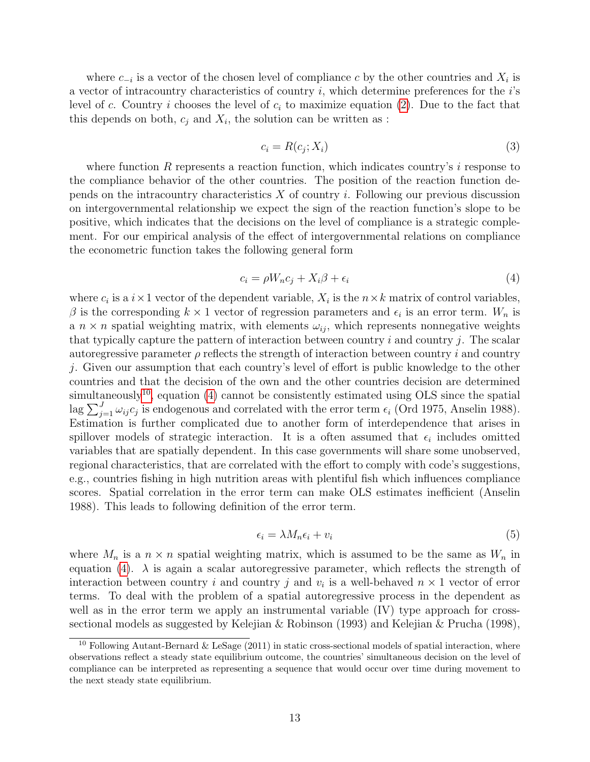where  $c_{-i}$  is a vector of the chosen level of compliance c by the other countries and  $X_i$  is a vector of intracountry characteristics of country  $i$ , which determine preferences for the  $i$ 's level of c. Country i chooses the level of  $c_i$  to maximize equation [\(2\)](#page-11-2). Due to the fact that this depends on both,  $c_j$  and  $X_i$ , the solution can be written as :

$$
c_i = R(c_j; X_i) \tag{3}
$$

where function R represents a reaction function, which indicates country's  $i$  response to the compliance behavior of the other countries. The position of the reaction function depends on the intracountry characteristics  $X$  of country  $i$ . Following our previous discussion on intergovernmental relationship we expect the sign of the reaction function's slope to be positive, which indicates that the decisions on the level of compliance is a strategic complement. For our empirical analysis of the effect of intergovernmental relations on compliance the econometric function takes the following general form

<span id="page-12-1"></span>
$$
c_i = \rho W_n c_j + X_i \beta + \epsilon_i \tag{4}
$$

where  $c_i$  is a  $i \times 1$  vector of the dependent variable,  $X_i$  is the  $n \times k$  matrix of control variables, β is the corresponding  $k \times 1$  vector of regression parameters and  $\epsilon_i$  is an error term.  $W_n$  is a  $n \times n$  spatial weighting matrix, with elements  $\omega_{ij}$ , which represents nonnegative weights that typically capture the pattern of interaction between country  $i$  and country  $j$ . The scalar autoregressive parameter  $\rho$  reflects the strength of interaction between country i and country j. Given our assumption that each country's level of effort is public knowledge to the other countries and that the decision of the own and the other countries decision are determined simultaneously<sup>[10](#page-12-0)</sup>, equation  $(4)$  cannot be consistently estimated using OLS since the spatial lag  $\sum_{j=1}^{J} \omega_{ij} c_j$  is endogenous and correlated with the error term  $\epsilon_i$  (Ord 1975, Anselin 1988). Estimation is further complicated due to another form of interdependence that arises in spillover models of strategic interaction. It is a often assumed that  $\epsilon_i$  includes omitted variables that are spatially dependent. In this case governments will share some unobserved, regional characteristics, that are correlated with the effort to comply with code's suggestions, e.g., countries fishing in high nutrition areas with plentiful fish which influences compliance scores. Spatial correlation in the error term can make OLS estimates inefficient (Anselin 1988). This leads to following definition of the error term.

<span id="page-12-2"></span>
$$
\epsilon_i = \lambda M_n \epsilon_i + v_i \tag{5}
$$

where  $M_n$  is a  $n \times n$  spatial weighting matrix, which is assumed to be the same as  $W_n$  in equation [\(4\)](#page-12-1).  $\lambda$  is again a scalar autoregressive parameter, which reflects the strength of interaction between country i and country j and  $v_i$  is a well-behaved  $n \times 1$  vector of error terms. To deal with the problem of a spatial autoregressive process in the dependent as well as in the error term we apply an instrumental variable (IV) type approach for crosssectional models as suggested by Kelejian & Robinson (1993) and Kelejian & Prucha (1998),

<span id="page-12-0"></span><sup>&</sup>lt;sup>10</sup> Following Autant-Bernard & LeSage (2011) in static cross-sectional models of spatial interaction, where observations reflect a steady state equilibrium outcome, the countries' simultaneous decision on the level of compliance can be interpreted as representing a sequence that would occur over time during movement to the next steady state equilibrium.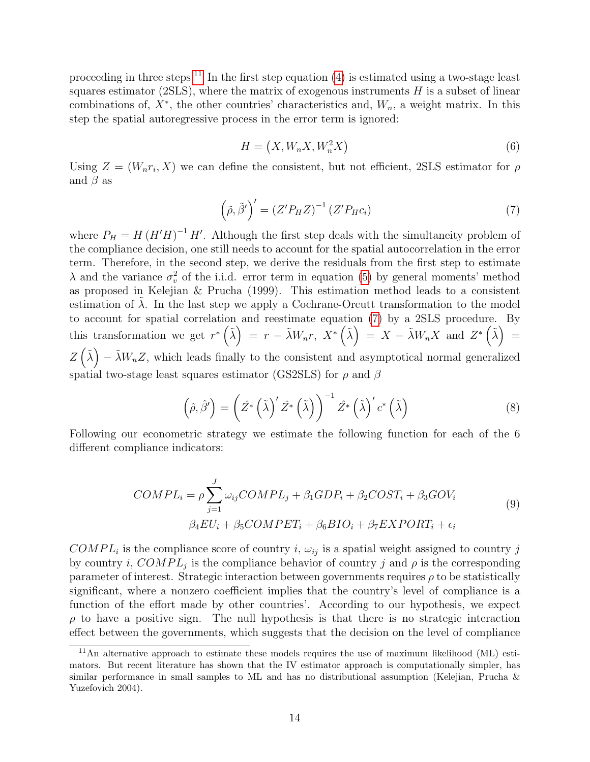proceeding in three steps.<sup>[11](#page-13-0)</sup> In the first step equation  $(4)$  is estimated using a two-stage least squares estimator (2SLS), where the matrix of exogenous instruments  $H$  is a subset of linear combinations of,  $X^*$ , the other countries' characteristics and,  $W_n$ , a weight matrix. In this step the spatial autoregressive process in the error term is ignored:

$$
H = (X, W_n X, W_n^2 X) \tag{6}
$$

Using  $Z = (W_n r_i, X)$  we can define the consistent, but not efficient, 2SLS estimator for  $\rho$ and  $\beta$  as

<span id="page-13-1"></span>
$$
\left(\tilde{\rho}, \tilde{\beta}'\right)' = \left(Z'P_H Z\right)^{-1} \left(Z'P_H c_i\right) \tag{7}
$$

where  $P_H = H (H'H)^{-1} H'$ . Although the first step deals with the simultaneity problem of the compliance decision, one still needs to account for the spatial autocorrelation in the error term. Therefore, in the second step, we derive the residuals from the first step to estimate  $\lambda$  and the variance  $\sigma_v^2$  of the i.i.d. error term in equation [\(5\)](#page-12-2) by general moments' method as proposed in Kelejian & Prucha (1999). This estimation method leads to a consistent estimation of  $\lambda$ . In the last step we apply a Cochrane-Orcutt transformation to the model to account for spatial correlation and reestimate equation [\(7\)](#page-13-1) by a 2SLS procedure. By this transformation we get  $r^*\left(\tilde{\lambda}\right) = r - \tilde{\lambda}W_n r$ ,  $X^*\left(\tilde{\lambda}\right) = X - \tilde{\lambda}W_n X$  and  $Z^*\left(\tilde{\lambda}\right) =$  $Z(\tilde{\lambda}) - \tilde{\lambda}W_nZ$ , which leads finally to the consistent and asymptotical normal generalized spatial two-stage least squares estimator (GS2SLS) for  $\rho$  and  $\beta$ 

$$
\left(\hat{\rho},\hat{\beta}'\right) = \left(\hat{Z}^*\left(\tilde{\lambda}\right)'\hat{Z}^*\left(\tilde{\lambda}\right)\right)^{-1}\hat{Z}^*\left(\tilde{\lambda}\right)'c^*\left(\tilde{\lambda}\right) \tag{8}
$$

Following our econometric strategy we estimate the following function for each of the 6 different compliance indicators:

$$
COMPL_i = \rho \sum_{j=1}^{J} \omega_{ij}COMPL_j + \beta_1 GDP_i + \beta_2 COST_i + \beta_3 GOV_i
$$
  

$$
\beta_4 EU_i + \beta_5 COMPET_i + \beta_6 BIO_i + \beta_7 EXPORT_i + \epsilon_i
$$
  
(9)

<span id="page-13-2"></span> $COMPL_i$  is the compliance score of country i,  $\omega_{ij}$  is a spatial weight assigned to country j by country *i*,  $COMPL<sub>j</sub>$  is the compliance behavior of country *j* and  $\rho$  is the corresponding parameter of interest. Strategic interaction between governments requires  $\rho$  to be statistically significant, where a nonzero coefficient implies that the country's level of compliance is a function of the effort made by other countries'. According to our hypothesis, we expect  $\rho$  to have a positive sign. The null hypothesis is that there is no strategic interaction effect between the governments, which suggests that the decision on the level of compliance

<span id="page-13-0"></span><sup>&</sup>lt;sup>11</sup>An alternative approach to estimate these models requires the use of maximum likelihood (ML) estimators. But recent literature has shown that the IV estimator approach is computationally simpler, has similar performance in small samples to ML and has no distributional assumption (Kelejian, Prucha & Yuzefovich 2004).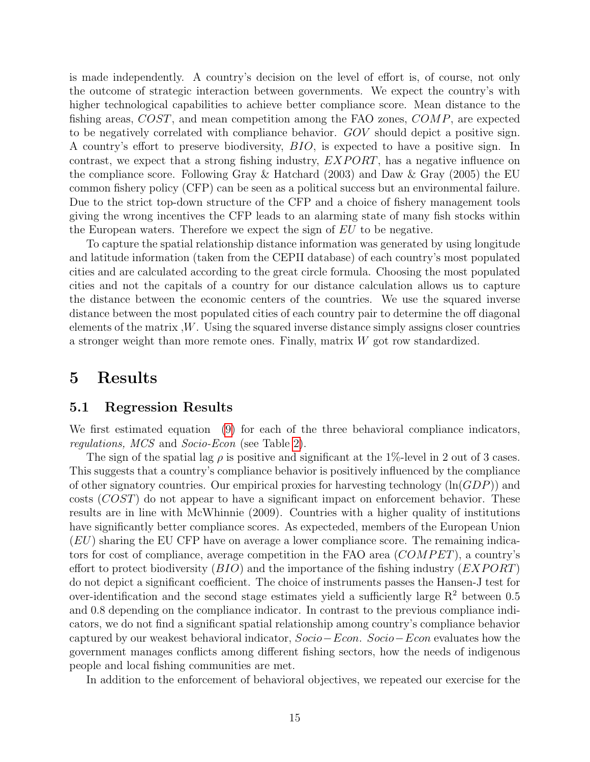is made independently. A country's decision on the level of effort is, of course, not only the outcome of strategic interaction between governments. We expect the country's with higher technological capabilities to achieve better compliance score. Mean distance to the fishing areas, COST, and mean competition among the FAO zones, COMP, are expected to be negatively correlated with compliance behavior. GOV should depict a positive sign. A country's effort to preserve biodiversity, BIO, is expected to have a positive sign. In contrast, we expect that a strong fishing industry,  $EXPORT$ , has a negative influence on the compliance score. Following Gray & Hatchard (2003) and Daw & Gray (2005) the EU common fishery policy (CFP) can be seen as a political success but an environmental failure. Due to the strict top-down structure of the CFP and a choice of fishery management tools giving the wrong incentives the CFP leads to an alarming state of many fish stocks within the European waters. Therefore we expect the sign of EU to be negative.

To capture the spatial relationship distance information was generated by using longitude and latitude information (taken from the CEPII database) of each country's most populated cities and are calculated according to the great circle formula. Choosing the most populated cities and not the capitals of a country for our distance calculation allows us to capture the distance between the economic centers of the countries. We use the squared inverse distance between the most populated cities of each country pair to determine the off diagonal elements of the matrix ,W. Using the squared inverse distance simply assigns closer countries a stronger weight than more remote ones. Finally, matrix  $W$  got row standardized.

### 5 Results

#### 5.1 Regression Results

We first estimated equation [\(9\)](#page-13-2) for each of the three behavioral compliance indicators, regulations, MCS and Socio-Econ (see Table [2\)](#page-15-0).

The sign of the spatial lag  $\rho$  is positive and significant at the 1%-level in 2 out of 3 cases. This suggests that a country's compliance behavior is positively influenced by the compliance of other signatory countries. Our empirical proxies for harvesting technology  $(\ln(GDP))$  and costs  $(COST)$  do not appear to have a significant impact on enforcement behavior. These results are in line with McWhinnie (2009). Countries with a higher quality of institutions have significantly better compliance scores. As expecteded, members of the European Union  $(EU)$  sharing the EU CFP have on average a lower compliance score. The remaining indicators for cost of compliance, average competition in the FAO area  $(COMPET)$ , a country's effort to protect biodiversity  $(BIO)$  and the importance of the fishing industry  $(EXPORT)$ do not depict a significant coefficient. The choice of instruments passes the Hansen-J test for over-identification and the second stage estimates yield a sufficiently large  $R^2$  between 0.5 and 0.8 depending on the compliance indicator. In contrast to the previous compliance indicators, we do not find a significant spatial relationship among country's compliance behavior captured by our weakest behavioral indicator, Socio−Econ. Socio−Econ evaluates how the government manages conflicts among different fishing sectors, how the needs of indigenous people and local fishing communities are met.

In addition to the enforcement of behavioral objectives, we repeated our exercise for the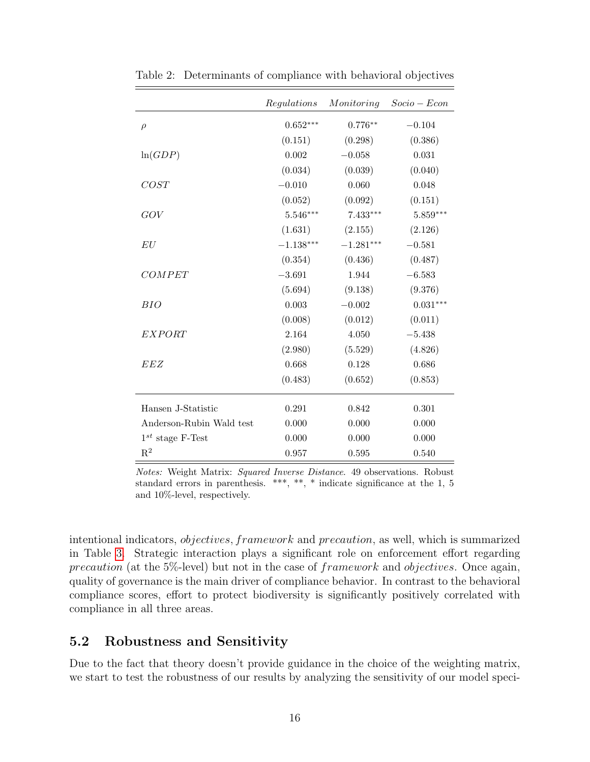|                          | Regulations | Monitoring  | $Socio-Econ$ |
|--------------------------|-------------|-------------|--------------|
| $\rho$                   | $0.652***$  | $0.776**$   | $-0.104$     |
|                          | (0.151)     | (0.298)     | (0.386)      |
| ln(GDP)                  | 0.002       | $-0.058$    | 0.031        |
|                          | (0.034)     | (0.039)     | (0.040)      |
| COST                     | $-0.010$    | 0.060       | 0.048        |
|                          | (0.052)     | (0.092)     | (0.151)      |
| GOV                      | $5.546***$  | $7.433***$  | $5.859***$   |
|                          | (1.631)     | (2.155)     | (2.126)      |
| EU                       | $-1.138***$ | $-1.281***$ | $-0.581$     |
|                          | (0.354)     | (0.436)     | (0.487)      |
| COMPET                   | $-3.691$    | 1.944       | $-6.583$     |
|                          | (5.694)     | (9.138)     | (9.376)      |
| BIO                      | 0.003       | $-0.002$    | $0.031***$   |
|                          | (0.008)     | (0.012)     | (0.011)      |
| EXPORT                   | 2.164       | 4.050       | $-5.438$     |
|                          | (2.980)     | (5.529)     | (4.826)      |
| EEZ                      | 0.668       | 0.128       | 0.686        |
|                          | (0.483)     | (0.652)     | (0.853)      |
| Hansen J-Statistic       | 0.291       | 0.842       | 0.301        |
| Anderson-Rubin Wald test | 0.000       | 0.000       | 0.000        |
| $1^{st}$ stage F-Test    | 0.000       | 0.000       | 0.000        |
| $R^2$                    | 0.957       | 0.595       | 0.540        |

<span id="page-15-0"></span>Table 2: Determinants of compliance with behavioral objectives

Notes: Weight Matrix: Squared Inverse Distance. 49 observations. Robust standard errors in parenthesis. \*\*\*, \*\*, \* indicate significance at the 1, 5 and 10%-level, respectively.

intentional indicators, objectives, framework and precaution, as well, which is summarized in Table [3.](#page-16-0) Strategic interaction plays a significant role on enforcement effort regarding precaution (at the 5%-level) but not in the case of framework and objectives. Once again, quality of governance is the main driver of compliance behavior. In contrast to the behavioral compliance scores, effort to protect biodiversity is significantly positively correlated with compliance in all three areas.

#### 5.2 Robustness and Sensitivity

Due to the fact that theory doesn't provide guidance in the choice of the weighting matrix, we start to test the robustness of our results by analyzing the sensitivity of our model speci-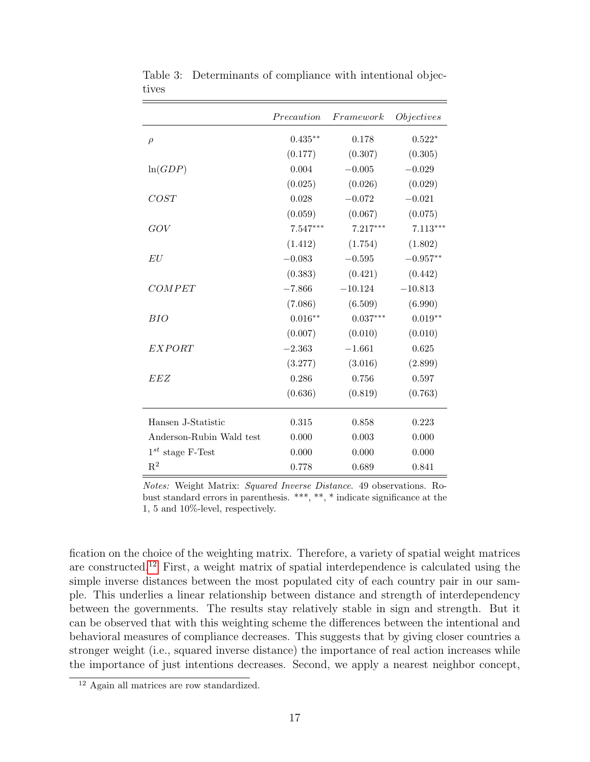|                          | Precaution | Framework  | <i>Objectives</i> |
|--------------------------|------------|------------|-------------------|
| $\rho$                   | $0.435***$ | 0.178      | $0.522*$          |
|                          | (0.177)    | (0.307)    | (0.305)           |
| ln(GDP)                  | 0.004      | $-0.005$   | $-0.029$          |
|                          | (0.025)    | (0.026)    | (0.029)           |
| COST                     | 0.028      | $-0.072$   | $-0.021$          |
|                          | (0.059)    | (0.067)    | (0.075)           |
| GOV                      | 7.547***   | $7.217***$ | $7.113***$        |
|                          | (1.412)    | (1.754)    | (1.802)           |
| EU                       | $-0.083$   | $-0.595$   | $-0.957**$        |
|                          | (0.383)    | (0.421)    | (0.442)           |
| COMPET                   | $-7.866$   | $-10.124$  | $-10.813$         |
|                          | (7.086)    | (6.509)    | (6.990)           |
| BIO                      | $0.016**$  | $0.037***$ | $0.019**$         |
|                          | (0.007)    | (0.010)    | (0.010)           |
| <b>EXPORT</b>            | $-2.363$   | $-1.661$   | 0.625             |
|                          | (3.277)    | (3.016)    | (2.899)           |
| EEZ                      | 0.286      | 0.756      | 0.597             |
|                          | (0.636)    | (0.819)    | (0.763)           |
| Hansen J-Statistic       | 0.315      | 0.858      | 0.223             |
| Anderson-Rubin Wald test | 0.000      | 0.003      | 0.000             |
| $1^{st}$ stage F-Test    | 0.000      | 0.000      | 0.000             |
| $\mathbf{R}^2$           | 0.778      | 0.689      | 0.841             |

<span id="page-16-0"></span>Table 3: Determinants of compliance with intentional objectives

Notes: Weight Matrix: Squared Inverse Distance. 49 observations. Robust standard errors in parenthesis. \*\*\*, \*\*, \* indicate significance at the 1, 5 and 10%-level, respectively.

fication on the choice of the weighting matrix. Therefore, a variety of spatial weight matrices are constructed.[12](#page-16-1) First, a weight matrix of spatial interdependence is calculated using the simple inverse distances between the most populated city of each country pair in our sample. This underlies a linear relationship between distance and strength of interdependency between the governments. The results stay relatively stable in sign and strength. But it can be observed that with this weighting scheme the differences between the intentional and behavioral measures of compliance decreases. This suggests that by giving closer countries a stronger weight (i.e., squared inverse distance) the importance of real action increases while the importance of just intentions decreases. Second, we apply a nearest neighbor concept,

<span id="page-16-1"></span><sup>12</sup> Again all matrices are row standardized.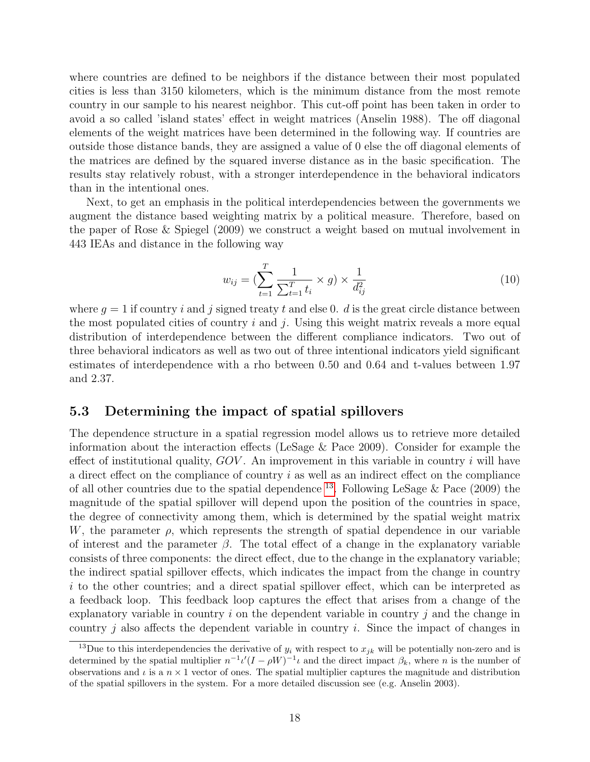where countries are defined to be neighbors if the distance between their most populated cities is less than 3150 kilometers, which is the minimum distance from the most remote country in our sample to his nearest neighbor. This cut-off point has been taken in order to avoid a so called 'island states' effect in weight matrices (Anselin 1988). The off diagonal elements of the weight matrices have been determined in the following way. If countries are outside those distance bands, they are assigned a value of 0 else the off diagonal elements of the matrices are defined by the squared inverse distance as in the basic specification. The results stay relatively robust, with a stronger interdependence in the behavioral indicators than in the intentional ones.

Next, to get an emphasis in the political interdependencies between the governments we augment the distance based weighting matrix by a political measure. Therefore, based on the paper of Rose & Spiegel (2009) we construct a weight based on mutual involvement in 443 IEAs and distance in the following way

$$
w_{ij} = \left(\sum_{t=1}^{T} \frac{1}{\sum_{t=1}^{T} t_i} \times g\right) \times \frac{1}{d_{ij}^2}
$$
\n(10)

where  $q = 1$  if country i and j signed treaty t and else 0. d is the great circle distance between the most populated cities of country i and j. Using this weight matrix reveals a more equal distribution of interdependence between the different compliance indicators. Two out of three behavioral indicators as well as two out of three intentional indicators yield significant estimates of interdependence with a rho between 0.50 and 0.64 and t-values between 1.97 and 2.37.

#### 5.3 Determining the impact of spatial spillovers

The dependence structure in a spatial regression model allows us to retrieve more detailed information about the interaction effects (LeSage & Pace 2009). Consider for example the effect of institutional quality,  $GOV$ . An improvement in this variable in country i will have a direct effect on the compliance of country  $i$  as well as an indirect effect on the compliance of all other countries due to the spatial dependence  $^{13}$  $^{13}$  $^{13}$ . Following LeSage & Pace (2009) the magnitude of the spatial spillover will depend upon the position of the countries in space, the degree of connectivity among them, which is determined by the spatial weight matrix W, the parameter  $\rho$ , which represents the strength of spatial dependence in our variable of interest and the parameter  $\beta$ . The total effect of a change in the explanatory variable consists of three components: the direct effect, due to the change in the explanatory variable; the indirect spatial spillover effects, which indicates the impact from the change in country i to the other countries; and a direct spatial spillover effect, which can be interpreted as a feedback loop. This feedback loop captures the effect that arises from a change of the explanatory variable in country  $i$  on the dependent variable in country  $j$  and the change in country  $j$  also affects the dependent variable in country  $i$ . Since the impact of changes in

<span id="page-17-0"></span><sup>&</sup>lt;sup>13</sup>Due to this interdependencies the derivative of  $y_i$  with respect to  $x_{jk}$  will be potentially non-zero and is determined by the spatial multiplier  $n^{-1}\iota'(I-\rho W)^{-1}\iota$  and the direct impact  $\beta_k$ , where n is the number of observations and  $\iota$  is a  $n \times 1$  vector of ones. The spatial multiplier captures the magnitude and distribution of the spatial spillovers in the system. For a more detailed discussion see (e.g. Anselin 2003).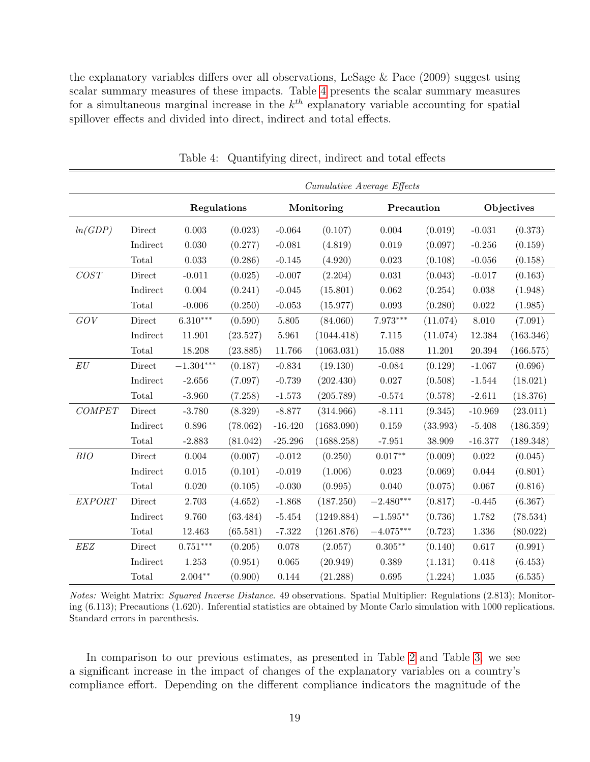the explanatory variables differs over all observations, LeSage & Pace (2009) suggest using scalar summary measures of these impacts. Table [4](#page-18-0) presents the scalar summary measures for a simultaneous marginal increase in the  $k^{th}$  explanatory variable accounting for spatial spillover effects and divided into direct, indirect and total effects.

|              |          | Cumulative Average Effects |          |           |                          |             |          |           |            |  |
|--------------|----------|----------------------------|----------|-----------|--------------------------|-------------|----------|-----------|------------|--|
|              |          | Regulations                |          |           | Monitoring<br>Precaution |             |          |           | Objectives |  |
| ln(GDP)      | Direct   | 0.003                      | (0.023)  | $-0.064$  | (0.107)                  | 0.004       | (0.019)  | $-0.031$  | (0.373)    |  |
|              | Indirect | 0.030                      | (0.277)  | $-0.081$  | (4.819)                  | 0.019       | (0.097)  | $-0.256$  | (0.159)    |  |
|              | Total    | 0.033                      | (0.286)  | $-0.145$  | (4.920)                  | $\,0.023\,$ | (0.108)  | $-0.056$  | (0.158)    |  |
| COST         | Direct   | $-0.011$                   | (0.025)  | $-0.007$  | (2.204)                  | 0.031       | (0.043)  | $-0.017$  | (0.163)    |  |
|              | Indirect | 0.004                      | (0.241)  | $-0.045$  | (15.801)                 | 0.062       | (0.254)  | 0.038     | (1.948)    |  |
|              | Total    | $-0.006$                   | (0.250)  | $-0.053$  | (15.977)                 | $\,0.093\,$ | (0.280)  | 0.022     | (1.985)    |  |
| GOV          | Direct   | $6.310***$                 | (0.590)  | 5.805     | (84.060)                 | $7.973***$  | (11.074) | 8.010     | (7.091)    |  |
|              | Indirect | 11.901                     | (23.527) | 5.961     | (1044.418)               | $7.115\,$   | (11.074) | 12.384    | (163.346)  |  |
|              | Total    | 18.208                     | (23.885) | 11.766    | (1063.031)               | 15.088      | 11.201   | 20.394    | (166.575)  |  |
| ${\cal E} U$ | Direct   | $-1.304^{\ast\ast\ast}$    | (0.187)  | $-0.834$  | (19.130)                 | $-0.084$    | (0.129)  | $-1.067$  | (0.696)    |  |
|              | Indirect | $-2.656$                   | (7.097)  | $-0.739$  | (202.430)                | $0.027\,$   | (0.508)  | $-1.544$  | (18.021)   |  |
|              | Total    | $-3.960$                   | (7.258)  | $-1.573$  | (205.789)                | $-0.574$    | (0.578)  | $-2.611$  | (18.376)   |  |
| COMPET       | Direct   | $-3.780$                   | (8.329)  | $-8.877$  | (314.966)                | $-8.111$    | (9.345)  | $-10.969$ | (23.011)   |  |
|              | Indirect | 0.896                      | (78.062) | $-16.420$ | (1683.090)               | 0.159       | (33.993) | $-5.408$  | (186.359)  |  |
|              | Total    | $-2.883$                   | (81.042) | $-25.296$ | (1688.258)               | $-7.951$    | 38.909   | $-16.377$ | (189.348)  |  |
| BIO          | Direct   | 0.004                      | (0.007)  | $-0.012$  | (0.250)                  | $0.017**$   | (0.009)  | 0.022     | (0.045)    |  |
|              | Indirect | 0.015                      | (0.101)  | $-0.019$  | (1.006)                  | 0.023       | (0.069)  | 0.044     | (0.801)    |  |
|              | Total    | 0.020                      | (0.105)  | $-0.030$  | (0.995)                  | 0.040       | (0.075)  | 0.067     | (0.816)    |  |
| EXPORT       | Direct   | 2.703                      | (4.652)  | $-1.868$  | (187.250)                | $-2.480***$ | (0.817)  | $-0.445$  | (6.367)    |  |
|              | Indirect | 9.760                      | (63.484) | $-5.454$  | (1249.884)               | $-1.595**$  | (0.736)  | 1.782     | (78.534)   |  |
|              | Total    | 12.463                     | (65.581) | $-7.322$  | (1261.876)               | $-4.075***$ | (0.723)  | 1.336     | (80.022)   |  |
| EEZ          | Direct   | $0.751***$                 | (0.205)  | 0.078     | (2.057)                  | $0.305**$   | (0.140)  | 0.617     | (0.991)    |  |
|              | Indirect | 1.253                      | (0.951)  | 0.065     | (20.949)                 | 0.389       | (1.131)  | 0.418     | (6.453)    |  |
|              | Total    | $2.004**$                  | (0.900)  | 0.144     | (21.288)                 | 0.695       | (1.224)  | 1.035     | (6.535)    |  |

<span id="page-18-0"></span>Table 4: Quantifying direct, indirect and total effects

Notes: Weight Matrix: Squared Inverse Distance. 49 observations. Spatial Multiplier: Regulations (2.813); Monitoring (6.113); Precautions (1.620). Inferential statistics are obtained by Monte Carlo simulation with 1000 replications. Standard errors in parenthesis.

In comparison to our previous estimates, as presented in Table [2](#page-15-0) and Table [3,](#page-16-0) we see a significant increase in the impact of changes of the explanatory variables on a country's compliance effort. Depending on the different compliance indicators the magnitude of the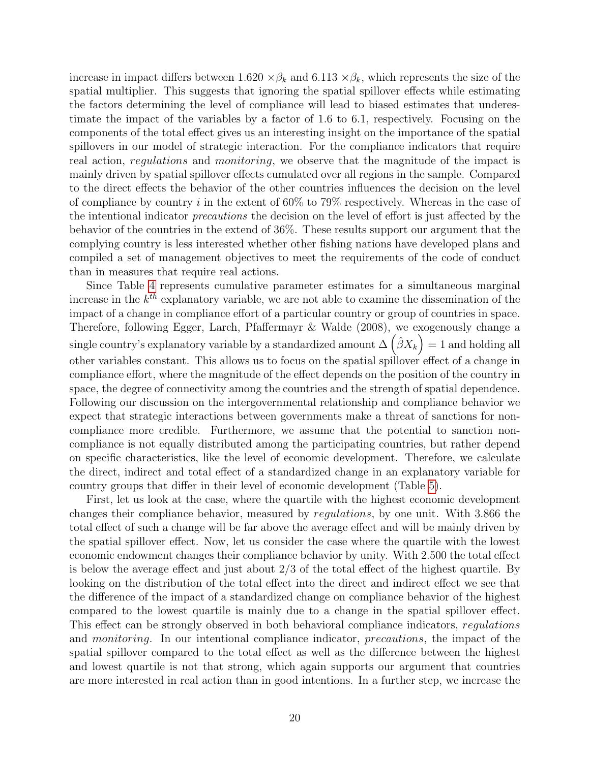increase in impact differs between  $1.620 \times \beta_k$  and  $6.113 \times \beta_k$ , which represents the size of the spatial multiplier. This suggests that ignoring the spatial spillover effects while estimating the factors determining the level of compliance will lead to biased estimates that underestimate the impact of the variables by a factor of 1.6 to 6.1, respectively. Focusing on the components of the total effect gives us an interesting insight on the importance of the spatial spillovers in our model of strategic interaction. For the compliance indicators that require real action, *regulations* and *monitoring*, we observe that the magnitude of the impact is mainly driven by spatial spillover effects cumulated over all regions in the sample. Compared to the direct effects the behavior of the other countries influences the decision on the level of compliance by country i in the extent of  $60\%$  to 79% respectively. Whereas in the case of the intentional indicator precautions the decision on the level of effort is just affected by the behavior of the countries in the extend of 36%. These results support our argument that the complying country is less interested whether other fishing nations have developed plans and compiled a set of management objectives to meet the requirements of the code of conduct than in measures that require real actions.

Since Table [4](#page-18-0) represents cumulative parameter estimates for a simultaneous marginal increase in the  $k^{th}$  explanatory variable, we are not able to examine the dissemination of the impact of a change in compliance effort of a particular country or group of countries in space. Therefore, following Egger, Larch, Pfaffermayr & Walde (2008), we exogenously change a single country's explanatory variable by a standardized amount  $\Delta\left(\hat{\beta}X_k\right) = 1$  and holding all other variables constant. This allows us to focus on the spatial spillover effect of a change in compliance effort, where the magnitude of the effect depends on the position of the country in space, the degree of connectivity among the countries and the strength of spatial dependence. Following our discussion on the intergovernmental relationship and compliance behavior we expect that strategic interactions between governments make a threat of sanctions for noncompliance more credible. Furthermore, we assume that the potential to sanction noncompliance is not equally distributed among the participating countries, but rather depend on specific characteristics, like the level of economic development. Therefore, we calculate the direct, indirect and total effect of a standardized change in an explanatory variable for country groups that differ in their level of economic development (Table [5\)](#page-20-0).

First, let us look at the case, where the quartile with the highest economic development changes their compliance behavior, measured by regulations, by one unit. With 3.866 the total effect of such a change will be far above the average effect and will be mainly driven by the spatial spillover effect. Now, let us consider the case where the quartile with the lowest economic endowment changes their compliance behavior by unity. With 2.500 the total effect is below the average effect and just about 2/3 of the total effect of the highest quartile. By looking on the distribution of the total effect into the direct and indirect effect we see that the difference of the impact of a standardized change on compliance behavior of the highest compared to the lowest quartile is mainly due to a change in the spatial spillover effect. This effect can be strongly observed in both behavioral compliance indicators, regulations and monitoring. In our intentional compliance indicator, precautions, the impact of the spatial spillover compared to the total effect as well as the difference between the highest and lowest quartile is not that strong, which again supports our argument that countries are more interested in real action than in good intentions. In a further step, we increase the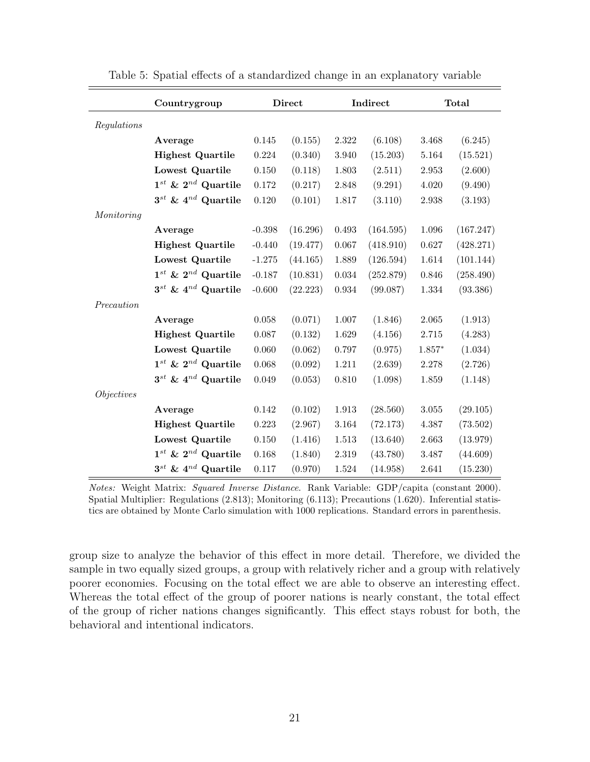|                   | Countrygroup                                   | <b>Direct</b> |          |             | Indirect  |           | <b>Total</b> |  |
|-------------------|------------------------------------------------|---------------|----------|-------------|-----------|-----------|--------------|--|
| Regulations       |                                                |               |          |             |           |           |              |  |
|                   | Average                                        | $0.145\,$     | (0.155)  | 2.322       | (6.108)   | $3.468\,$ | (6.245)      |  |
|                   | <b>Highest Quartile</b>                        | 0.224         | (0.340)  | 3.940       | (15.203)  | 5.164     | (15.521)     |  |
|                   | Lowest Quartile                                | $0.150\,$     | (0.118)  | 1.803       | (2.511)   | 2.953     | (2.600)      |  |
|                   | $1^{\mathit{st}}$ & $2^{\mathit{nd}}$ Quartile | 0.172         | (0.217)  | 2.848       | (9.291)   | 4.020     | (9.490)      |  |
|                   | $3^{st}$ & $4^{nd}$ Quartile                   | 0.120         | (0.101)  | 1.817       | (3.110)   | 2.938     | (3.193)      |  |
| Monitoring        |                                                |               |          |             |           |           |              |  |
|                   | Average                                        | $-0.398$      | (16.296) | 0.493       | (164.595) | $1.096\,$ | (167.247)    |  |
|                   | <b>Highest Quartile</b>                        | $-0.440$      | (19.477) | 0.067       | (418.910) | 0.627     | (428.271)    |  |
|                   | Lowest Quartile                                | $-1.275$      | (44.165) | 1.889       | (126.594) | $1.614\,$ | (101.144)    |  |
|                   | $1^{st}$ & $2^{nd}$ Quartile                   | $-0.187$      | (10.831) | $\,0.034\,$ | (252.879) | 0.846     | (258.490)    |  |
|                   | $3^{st}$ & $4^{nd}$ Quartile                   | $-0.600$      | (22.223) | $\,0.934\,$ | (99.087)  | $1.334\,$ | (93.386)     |  |
| Precaution        |                                                |               |          |             |           |           |              |  |
|                   | Average                                        | $0.058\,$     | (0.071)  | $1.007\,$   | (1.846)   | $2.065\,$ | (1.913)      |  |
|                   | <b>Highest Quartile</b>                        | $0.087\,$     | (0.132)  | $1.629\,$   | (4.156)   | $2.715\,$ | (4.283)      |  |
|                   | Lowest Quartile                                | 0.060         | (0.062)  | 0.797       | (0.975)   | $1.857*$  | (1.034)      |  |
|                   | $1^{st}$ & $2^{nd}$ Quartile                   | 0.068         | (0.092)  | 1.211       | (2.639)   | 2.278     | (2.726)      |  |
|                   | $3^{st}$ & $4^{nd}$ Quartile                   | 0.049         | (0.053)  | 0.810       | (1.098)   | 1.859     | (1.148)      |  |
| <i>Objectives</i> |                                                |               |          |             |           |           |              |  |
|                   | Average                                        | 0.142         | (0.102)  | 1.913       | (28.560)  | $3.055\,$ | (29.105)     |  |
|                   | <b>Highest Quartile</b>                        | 0.223         | (2.967)  | 3.164       | (72.173)  | 4.387     | (73.502)     |  |
|                   | Lowest Quartile                                | $0.150\,$     | (1.416)  | $1.513\,$   | (13.640)  | 2.663     | (13.979)     |  |
|                   | $1^{st}$ & $2^{nd}$ Quartile                   | 0.168         | (1.840)  | 2.319       | (43.780)  | 3.487     | (44.609)     |  |
|                   | $3^{st}$ & $4^{nd}$ Quartile                   | 0.117         | (0.970)  | 1.524       | (14.958)  | 2.641     | (15.230)     |  |

<span id="page-20-0"></span>Table 5: Spatial effects of a standardized change in an explanatory variable

Notes: Weight Matrix: Squared Inverse Distance. Rank Variable: GDP/capita (constant 2000). Spatial Multiplier: Regulations (2.813); Monitoring (6.113); Precautions (1.620). Inferential statistics are obtained by Monte Carlo simulation with 1000 replications. Standard errors in parenthesis.

group size to analyze the behavior of this effect in more detail. Therefore, we divided the sample in two equally sized groups, a group with relatively richer and a group with relatively poorer economies. Focusing on the total effect we are able to observe an interesting effect. Whereas the total effect of the group of poorer nations is nearly constant, the total effect of the group of richer nations changes significantly. This effect stays robust for both, the behavioral and intentional indicators.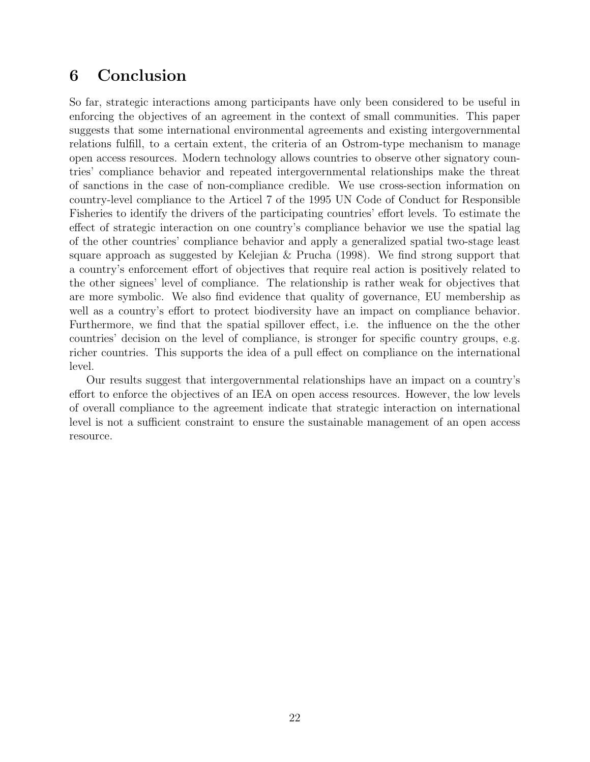# 6 Conclusion

So far, strategic interactions among participants have only been considered to be useful in enforcing the objectives of an agreement in the context of small communities. This paper suggests that some international environmental agreements and existing intergovernmental relations fulfill, to a certain extent, the criteria of an Ostrom-type mechanism to manage open access resources. Modern technology allows countries to observe other signatory countries' compliance behavior and repeated intergovernmental relationships make the threat of sanctions in the case of non-compliance credible. We use cross-section information on country-level compliance to the Articel 7 of the 1995 UN Code of Conduct for Responsible Fisheries to identify the drivers of the participating countries' effort levels. To estimate the effect of strategic interaction on one country's compliance behavior we use the spatial lag of the other countries' compliance behavior and apply a generalized spatial two-stage least square approach as suggested by Kelejian & Prucha (1998). We find strong support that a country's enforcement effort of objectives that require real action is positively related to the other signees' level of compliance. The relationship is rather weak for objectives that are more symbolic. We also find evidence that quality of governance, EU membership as well as a country's effort to protect biodiversity have an impact on compliance behavior. Furthermore, we find that the spatial spillover effect, i.e. the influence on the the other countries' decision on the level of compliance, is stronger for specific country groups, e.g. richer countries. This supports the idea of a pull effect on compliance on the international level.

Our results suggest that intergovernmental relationships have an impact on a country's effort to enforce the objectives of an IEA on open access resources. However, the low levels of overall compliance to the agreement indicate that strategic interaction on international level is not a sufficient constraint to ensure the sustainable management of an open access resource.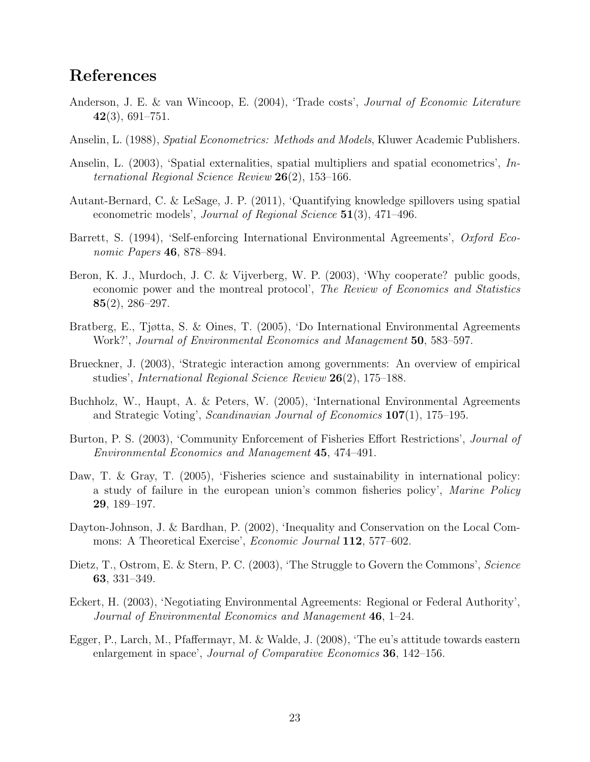## References

- Anderson, J. E. & van Wincoop, E. (2004), 'Trade costs', Journal of Economic Literature  $42(3), 691-751.$
- Anselin, L. (1988), Spatial Econometrics: Methods and Models, Kluwer Academic Publishers.
- Anselin, L. (2003), 'Spatial externalities, spatial multipliers and spatial econometrics', International Regional Science Review  $26(2)$ , 153-166.
- Autant-Bernard, C. & LeSage, J. P. (2011), 'Quantifying knowledge spillovers using spatial econometric models', Journal of Regional Science 51(3), 471–496.
- Barrett, S. (1994), 'Self-enforcing International Environmental Agreements', Oxford Economic Papers **46**, 878–894.
- Beron, K. J., Murdoch, J. C. & Vijverberg, W. P. (2003), 'Why cooperate? public goods, economic power and the montreal protocol', The Review of Economics and Statistics 85(2), 286–297.
- Bratberg, E., Tjøtta, S. & Oines, T. (2005), 'Do International Environmental Agreements Work?', Journal of Environmental Economics and Management 50, 583–597.
- Brueckner, J. (2003), 'Strategic interaction among governments: An overview of empirical studies', International Regional Science Review 26(2), 175–188.
- Buchholz, W., Haupt, A. & Peters, W. (2005), 'International Environmental Agreements and Strategic Voting', Scandinavian Journal of Economics 107(1), 175–195.
- Burton, P. S. (2003), 'Community Enforcement of Fisheries Effort Restrictions', Journal of Environmental Economics and Management 45, 474–491.
- Daw, T. & Gray, T. (2005), 'Fisheries science and sustainability in international policy: a study of failure in the european union's common fisheries policy', Marine Policy 29, 189–197.
- Dayton-Johnson, J. & Bardhan, P. (2002), 'Inequality and Conservation on the Local Commons: A Theoretical Exercise', Economic Journal 112, 577–602.
- Dietz, T., Ostrom, E. & Stern, P. C. (2003), 'The Struggle to Govern the Commons', Science 63, 331–349.
- Eckert, H. (2003), 'Negotiating Environmental Agreements: Regional or Federal Authority', Journal of Environmental Economics and Management  $46$ , 1–24.
- Egger, P., Larch, M., Pfaffermayr, M. & Walde, J. (2008), 'The eu's attitude towards eastern enlargement in space', Journal of Comparative Economics 36, 142–156.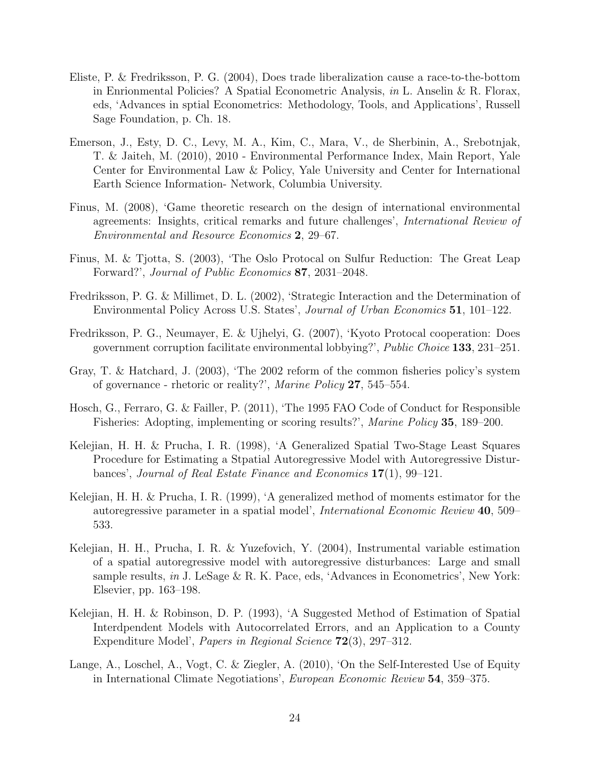- Eliste, P. & Fredriksson, P. G. (2004), Does trade liberalization cause a race-to-the-bottom in Enrionmental Policies? A Spatial Econometric Analysis, in L. Anselin & R. Florax, eds, 'Advances in sptial Econometrics: Methodology, Tools, and Applications', Russell Sage Foundation, p. Ch. 18.
- Emerson, J., Esty, D. C., Levy, M. A., Kim, C., Mara, V., de Sherbinin, A., Srebotnjak, T. & Jaiteh, M. (2010), 2010 - Environmental Performance Index, Main Report, Yale Center for Environmental Law & Policy, Yale University and Center for International Earth Science Information- Network, Columbia University.
- Finus, M. (2008), 'Game theoretic research on the design of international environmental agreements: Insights, critical remarks and future challenges', International Review of Environmental and Resource Economics 2, 29–67.
- Finus, M. & Tjotta, S. (2003), 'The Oslo Protocal on Sulfur Reduction: The Great Leap Forward?', Journal of Public Economics 87, 2031–2048.
- Fredriksson, P. G. & Millimet, D. L. (2002), 'Strategic Interaction and the Determination of Environmental Policy Across U.S. States', Journal of Urban Economics 51, 101–122.
- Fredriksson, P. G., Neumayer, E. & Ujhelyi, G. (2007), 'Kyoto Protocal cooperation: Does government corruption facilitate environmental lobbying?', Public Choice 133, 231–251.
- Gray, T. & Hatchard, J. (2003), 'The 2002 reform of the common fisheries policy's system of governance - rhetoric or reality?', Marine Policy 27, 545–554.
- Hosch, G., Ferraro, G. & Failler, P. (2011), 'The 1995 FAO Code of Conduct for Responsible Fisheries: Adopting, implementing or scoring results?', Marine Policy 35, 189–200.
- Kelejian, H. H. & Prucha, I. R. (1998), 'A Generalized Spatial Two-Stage Least Squares Procedure for Estimating a Stpatial Autoregressive Model with Autoregressive Disturbances', Journal of Real Estate Finance and Economics 17(1), 99–121.
- Kelejian, H. H. & Prucha, I. R. (1999), 'A generalized method of moments estimator for the autoregressive parameter in a spatial model', International Economic Review 40, 509– 533.
- Kelejian, H. H., Prucha, I. R. & Yuzefovich, Y. (2004), Instrumental variable estimation of a spatial autoregressive model with autoregressive disturbances: Large and small sample results, in J. LeSage & R. K. Pace, eds, 'Advances in Econometrics', New York: Elsevier, pp. 163–198.
- Kelejian, H. H. & Robinson, D. P. (1993), 'A Suggested Method of Estimation of Spatial Interdpendent Models with Autocorrelated Errors, and an Application to a County Expenditure Model', Papers in Regional Science 72(3), 297–312.
- Lange, A., Loschel, A., Vogt, C. & Ziegler, A. (2010), 'On the Self-Interested Use of Equity in International Climate Negotiations', European Economic Review 54, 359–375.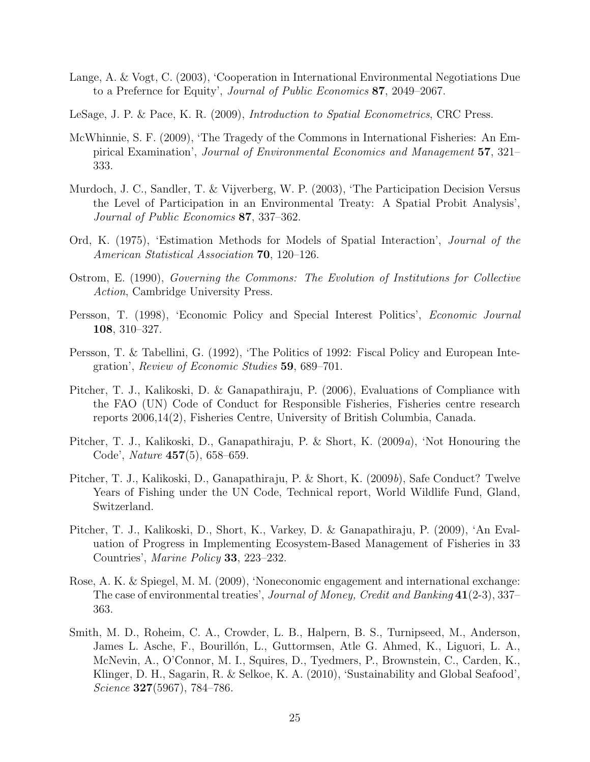- Lange, A. & Vogt, C. (2003), 'Cooperation in International Environmental Negotiations Due to a Prefernce for Equity', Journal of Public Economics 87, 2049–2067.
- LeSage, J. P. & Pace, K. R. (2009), Introduction to Spatial Econometrics, CRC Press.
- McWhinnie, S. F. (2009), 'The Tragedy of the Commons in International Fisheries: An Empirical Examination', Journal of Environmental Economics and Management 57, 321– 333.
- Murdoch, J. C., Sandler, T. & Vijverberg, W. P. (2003), 'The Participation Decision Versus the Level of Participation in an Environmental Treaty: A Spatial Probit Analysis', Journal of Public Economics 87, 337–362.
- Ord, K. (1975), 'Estimation Methods for Models of Spatial Interaction', Journal of the American Statistical Association 70, 120–126.
- Ostrom, E. (1990), Governing the Commons: The Evolution of Institutions for Collective Action, Cambridge University Press.
- Persson, T. (1998), 'Economic Policy and Special Interest Politics', Economic Journal 108, 310–327.
- Persson, T. & Tabellini, G. (1992), 'The Politics of 1992: Fiscal Policy and European Integration', Review of Economic Studies 59, 689–701.
- Pitcher, T. J., Kalikoski, D. & Ganapathiraju, P. (2006), Evaluations of Compliance with the FAO (UN) Code of Conduct for Responsible Fisheries, Fisheries centre research reports 2006,14(2), Fisheries Centre, University of British Columbia, Canada.
- Pitcher, T. J., Kalikoski, D., Ganapathiraju, P. & Short, K. (2009a), 'Not Honouring the Code', Nature 457(5), 658–659.
- Pitcher, T. J., Kalikoski, D., Ganapathiraju, P. & Short, K. (2009b), Safe Conduct? Twelve Years of Fishing under the UN Code, Technical report, World Wildlife Fund, Gland, Switzerland.
- Pitcher, T. J., Kalikoski, D., Short, K., Varkey, D. & Ganapathiraju, P. (2009), 'An Evaluation of Progress in Implementing Ecosystem-Based Management of Fisheries in 33 Countries', Marine Policy 33, 223–232.
- Rose, A. K. & Spiegel, M. M. (2009), 'Noneconomic engagement and international exchange: The case of environmental treaties', *Journal of Money, Credit and Banking* 41(2-3), 337– 363.
- Smith, M. D., Roheim, C. A., Crowder, L. B., Halpern, B. S., Turnipseed, M., Anderson, James L. Asche, F., Bourillón, L., Guttormsen, Atle G. Ahmed, K., Liguori, L. A., McNevin, A., O'Connor, M. I., Squires, D., Tyedmers, P., Brownstein, C., Carden, K., Klinger, D. H., Sagarin, R. & Selkoe, K. A. (2010), 'Sustainability and Global Seafood', Science 327(5967), 784–786.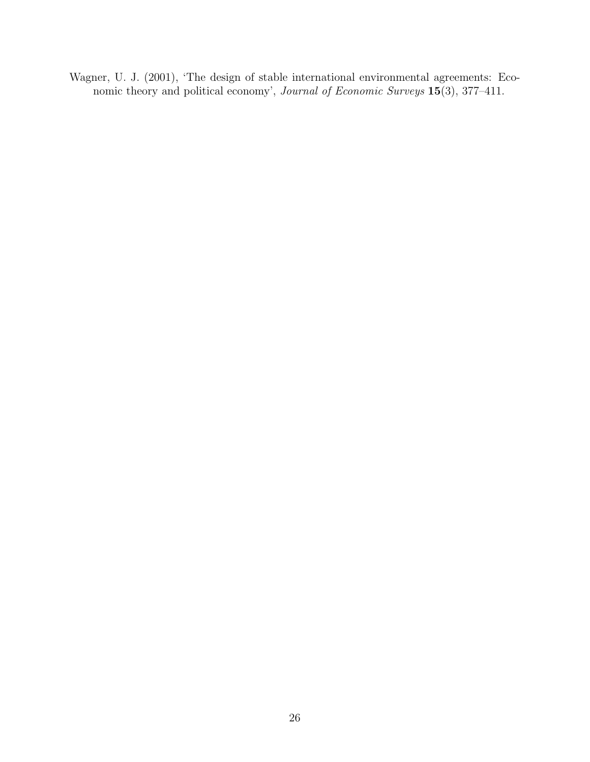Wagner, U. J. (2001), 'The design of stable international environmental agreements: Economic theory and political economy', Journal of Economic Surveys 15(3), 377-411.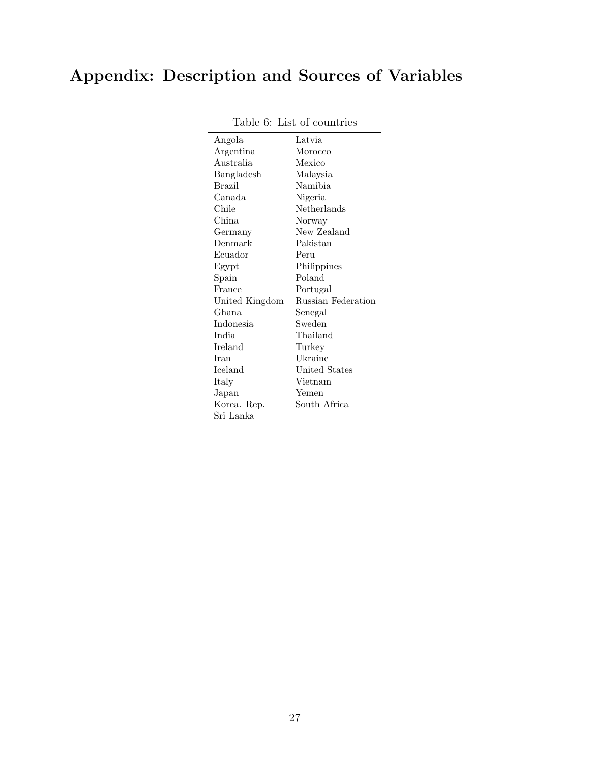# Appendix: Description and Sources of Variables

| Angola           | Latvia             |
|------------------|--------------------|
| Argentina        | Morocco            |
| Australia        | Mexico             |
| Bangladesh       | Malaysia           |
| <b>Brazil</b>    | Namibia            |
| Canada           | Nigeria            |
| Chile            | Netherlands        |
| China            | Norway             |
| Germany          | New Zealand        |
| Denmark          | Pakistan           |
| Ecuador          | Peru               |
| Egypt            | Philippines        |
| Spain            | Poland             |
| France           | Portugal           |
| United Kingdom   | Russian Federation |
| Ghana            | Senegal            |
| <b>Indonesia</b> | Sweden             |
| <b>India</b>     | Thailand           |
| Ireland          | Turkey             |
| Iran             | Ukraine            |
| Iceland          | United States      |
| Italy            | Vietnam            |
| Japan            | Yemen              |
| Korea. Rep.      | South Africa       |
| Sri Lanka        |                    |

Table 6: List of countries